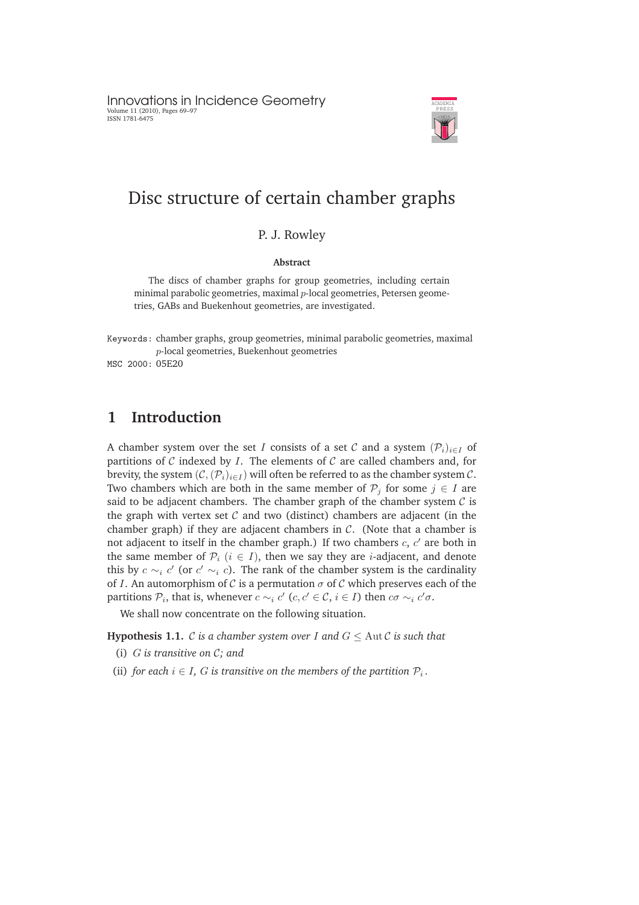Innovations in Incidence Geometry Volume 11 (2010), Pages 69–97 ISSN 1781-6475



# Disc structure of certain chamber graphs

#### P. J. Rowley

#### **Abstract**

The discs of chamber graphs for group geometries, including certain minimal parabolic geometries, maximal  $p$ -local geometries, Petersen geometries, GABs and Buekenhout geometries, are investigated.

Keywords: chamber graphs, group geometries, minimal parabolic geometries, maximal p-local geometries, Buekenhout geometries

MSC 2000: 05E20

# **1 Introduction**

A chamber system over the set I consists of a set C and a system  $(\mathcal{P}_i)_{i\in I}$  of partitions of  $C$  indexed by  $I$ . The elements of  $C$  are called chambers and, for brevity, the system  $(C,(\mathcal{P}_i)_{i\in I})$  will often be referred to as the chamber system  $C$ . Two chambers which are both in the same member of  $\mathcal{P}_j$  for some  $j \in I$  are said to be adjacent chambers. The chamber graph of the chamber system  $\mathcal C$  is the graph with vertex set  $\mathcal C$  and two (distinct) chambers are adjacent (in the chamber graph) if they are adjacent chambers in  $C$ . (Note that a chamber is not adjacent to itself in the chamber graph.) If two chambers  $c, c'$  are both in the same member of  $\mathcal{P}_i$   $(i \in I)$ , then we say they are *i*-adjacent, and denote this by  $c \sim_i c'$  (or  $c' \sim_i c$ ). The rank of the chamber system is the cardinality of *I*. An automorphism of *C* is a permutation  $\sigma$  of *C* which preserves each of the partitions  $P_i$ , that is, whenever  $c \sim_i c'$  ( $c, c' \in \mathcal{C}$ ,  $i \in I$ ) then  $c\sigma \sim_i c'\sigma$ .

We shall now concentrate on the following situation.

**Hypothesis 1.1.** C *is a chamber system over* I and  $G \leq \text{Aut } C$  *is such that* 

- (i) G *is transitive on* C*; and*
- (ii) *for each*  $i \in I$ , *G* is transitive on the members of the partition  $P_i$ .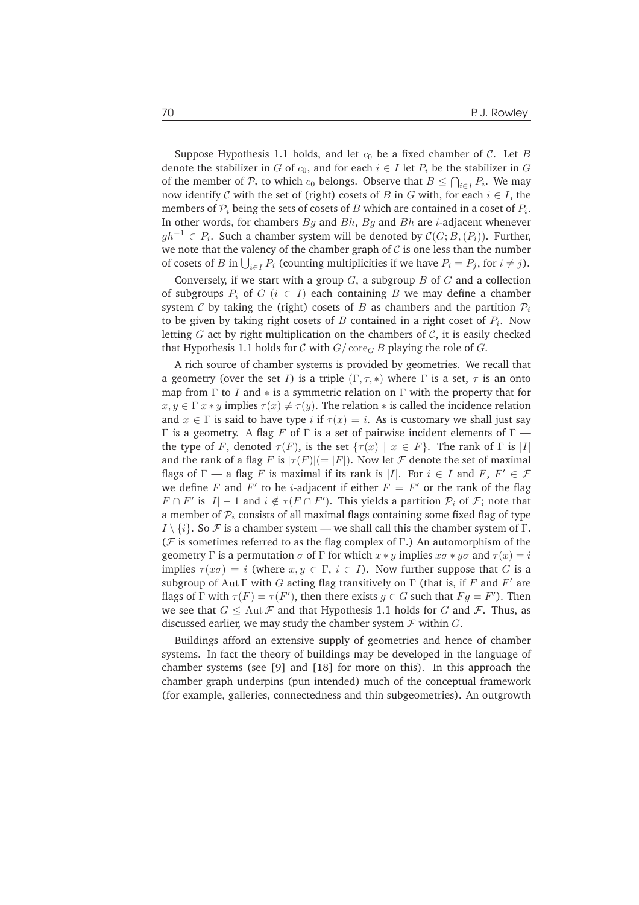Suppose Hypothesis 1.1 holds, and let  $c_0$  be a fixed chamber of  $C$ . Let B denote the stabilizer in G of  $c_0$ , and for each  $i \in I$  let  $P_i$  be the stabilizer in G of the member of  $\mathcal{P}_i$  to which  $c_0$  belongs. Observe that  $B \leq \bigcap_{i \in I} P_i$ . We may now identify C with the set of (right) cosets of B in G with, for each  $i \in I$ , the members of  $\mathcal{P}_i$  being the sets of cosets of  $B$  which are contained in a coset of  $P_i.$ In other words, for chambers  $Bq$  and  $Bh$ ,  $Bq$  and  $Bh$  are *i*-adjacent whenever  $gh^{-1}$  ∈  $P_i$ . Such a chamber system will be denoted by  $\mathcal{C}(G;B,(P_i))$ . Further, we note that the valency of the chamber graph of  $\mathcal C$  is one less than the number of cosets of B in  $\bigcup_{i \in I} P_i$  (counting multiplicities if we have  $P_i = P_j$ , for  $i \neq j$ ).

Conversely, if we start with a group  $G$ , a subgroup  $B$  of  $G$  and a collection of subgroups  $P_i$  of  $G$  ( $i \in I$ ) each containing B we may define a chamber system C by taking the (right) cosets of B as chambers and the partition  $\mathcal{P}_i$ to be given by taking right cosets of  $B$  contained in a right coset of  $P_i.$  Now letting  $G$  act by right multiplication on the chambers of  $C$ , it is easily checked that Hypothesis 1.1 holds for C with  $G/\text{core}_G B$  playing the role of G.

A rich source of chamber systems is provided by geometries. We recall that a geometry (over the set I) is a triple  $(\Gamma, \tau, *)$  where  $\Gamma$  is a set,  $\tau$  is an onto map from  $\Gamma$  to I and  $*$  is a symmetric relation on  $\Gamma$  with the property that for  $x, y \in \Gamma$   $x * y$  implies  $\tau(x) \neq \tau(y)$ . The relation  $*$  is called the incidence relation and  $x \in \Gamma$  is said to have type i if  $\tau(x) = i$ . As is customary we shall just say Γ is a geometry. A flag F of Γ is a set of pairwise incident elements of  $\Gamma$  the type of F, denoted  $\tau(F)$ , is the set  $\{\tau(x) \mid x \in F\}$ . The rank of  $\Gamma$  is |I| and the rank of a flag F is  $|\tau(F)| (= |F|)$ . Now let F denote the set of maximal flags of  $\Gamma$  — a flag F is maximal if its rank is |I|. For  $i \in I$  and F,  $F' \in \mathcal{F}$ we define F and  $F'$  to be *i*-adjacent if either  $F = F'$  or the rank of the flag  $F \cap F'$  is  $|I| - 1$  and  $i \notin \tau(F \cap F')$ . This yields a partition  $P_i$  of  $F$ ; note that a member of  $P_i$  consists of all maximal flags containing some fixed flag of type  $I \setminus \{i\}$ . So F is a chamber system — we shall call this the chamber system of Γ. ( $F$  is sometimes referred to as the flag complex of Γ.) An automorphism of the geometry Γ is a permutation  $\sigma$  of Γ for which  $x * y$  implies  $x\sigma * y\sigma$  and  $\tau(x) = i$ implies  $\tau(x\sigma) = i$  (where  $x, y \in \Gamma$ ,  $i \in I$ ). Now further suppose that G is a subgroup of Aut  $\Gamma$  with  $G$  acting flag transitively on  $\Gamma$  (that is, if  $F$  and  $F'$  are flags of  $\Gamma$  with  $\tau(F) = \tau(F')$ , then there exists  $g \in G$  such that  $Fg = F'$ ). Then we see that  $G \leq \text{Aut } \mathcal{F}$  and that Hypothesis 1.1 holds for G and  $\mathcal{F}$ . Thus, as discussed earlier, we may study the chamber system  $\mathcal F$  within  $G$ .

Buildings afford an extensive supply of geometries and hence of chamber systems. In fact the theory of buildings may be developed in the language of chamber systems (see [9] and [18] for more on this). In this approach the chamber graph underpins (pun intended) much of the conceptual framework (for example, galleries, connectedness and thin subgeometries). An outgrowth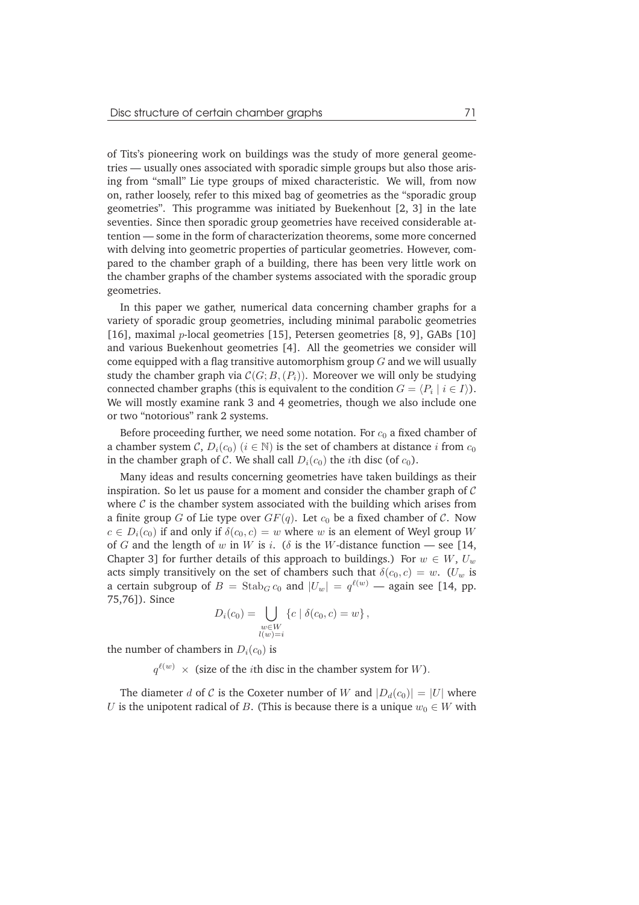of Tits's pioneering work on buildings was the study of more general geometries — usually ones associated with sporadic simple groups but also those arising from "small" Lie type groups of mixed characteristic. We will, from now on, rather loosely, refer to this mixed bag of geometries as the "sporadic group geometries". This programme was initiated by Buekenhout [2, 3] in the late seventies. Since then sporadic group geometries have received considerable attention — some in the form of characterization theorems, some more concerned with delving into geometric properties of particular geometries. However, compared to the chamber graph of a building, there has been very little work on the chamber graphs of the chamber systems associated with the sporadic group geometries.

In this paper we gather, numerical data concerning chamber graphs for a variety of sporadic group geometries, including minimal parabolic geometries [16], maximal *p*-local geometries [15], Petersen geometries [8, 9], GABs [10] and various Buekenhout geometries [4]. All the geometries we consider will come equipped with a flag transitive automorphism group  $G$  and we will usually study the chamber graph via  $C(G; B,(P_i))$ . Moreover we will only be studying connected chamber graphs (this is equivalent to the condition  $G = \langle P_i \mid i \in I \rangle$ ). We will mostly examine rank 3 and 4 geometries, though we also include one or two "notorious" rank 2 systems.

Before proceeding further, we need some notation. For  $c_0$  a fixed chamber of a chamber system C,  $D_i(c_0)$   $(i \in \mathbb{N})$  is the set of chambers at distance i from  $c_0$ in the chamber graph of C. We shall call  $D_i(c_0)$  the *i*th disc (of  $c_0$ ).

Many ideas and results concerning geometries have taken buildings as their inspiration. So let us pause for a moment and consider the chamber graph of  $\mathcal C$ where  $C$  is the chamber system associated with the building which arises from a finite group G of Lie type over  $GF(q)$ . Let  $c_0$  be a fixed chamber of C. Now  $c \in D_i(c_0)$  if and only if  $\delta(c_0, c) = w$  where w is an element of Weyl group W of G and the length of w in W is i. ( $\delta$  is the W-distance function — see [14, Chapter 3] for further details of this approach to buildings.) For  $w \in W$ ,  $U_w$ acts simply transitively on the set of chambers such that  $\delta(c_0, c) = w$ . (U<sub>w</sub> is a certain subgroup of  $B = \operatorname{Stab}_G c_0$  and  $|U_w| = q^{\ell(w)}$  — again see [14, pp. 75,76]). Since

$$
D_i(c_0) = \bigcup_{\substack{w \in W \\ l(w) = i}} \{c \mid \delta(c_0, c) = w\},\,
$$

the number of chambers in  $D_i(c_0)$  is

 $q^{\ell(w)} \times$  (size of the *i*th disc in the chamber system for W).

The diameter d of C is the Coxeter number of W and  $|D_d(c_0)| = |U|$  where U is the unipotent radical of B. (This is because there is a unique  $w_0 \in W$  with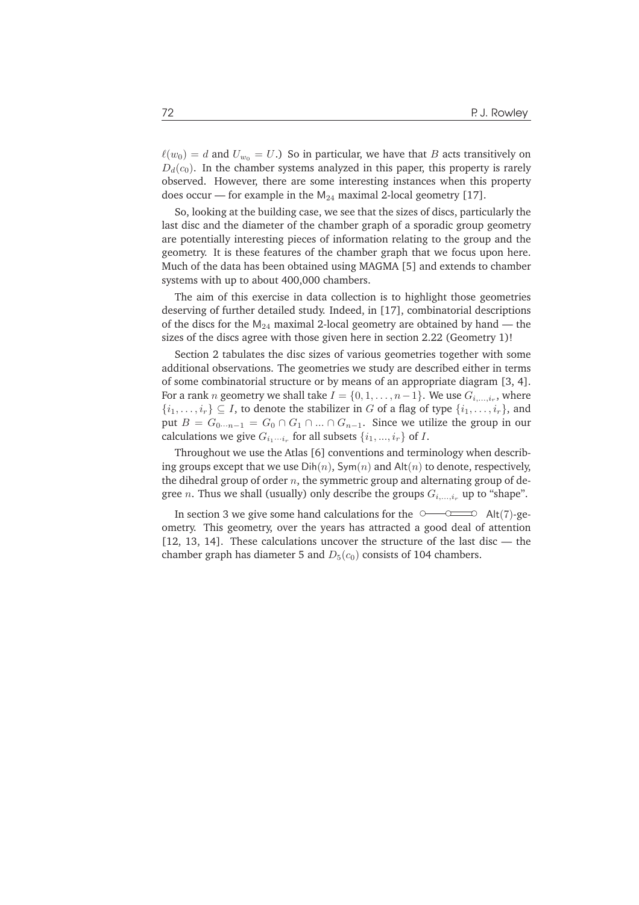$\ell(w_0) = d$  and  $U_{w_0} = U$ .) So in particular, we have that B acts transitively on  $D_d(c_0)$ . In the chamber systems analyzed in this paper, this property is rarely observed. However, there are some interesting instances when this property does occur — for example in the  $M_{24}$  maximal 2-local geometry [17].

So, looking at the building case, we see that the sizes of discs, particularly the last disc and the diameter of the chamber graph of a sporadic group geometry are potentially interesting pieces of information relating to the group and the geometry. It is these features of the chamber graph that we focus upon here. Much of the data has been obtained using MAGMA [5] and extends to chamber systems with up to about 400,000 chambers.

The aim of this exercise in data collection is to highlight those geometries deserving of further detailed study. Indeed, in [17], combinatorial descriptions of the discs for the  $M_{24}$  maximal 2-local geometry are obtained by hand — the sizes of the discs agree with those given here in section 2.22 (Geometry 1)!

Section 2 tabulates the disc sizes of various geometries together with some additional observations. The geometries we study are described either in terms of some combinatorial structure or by means of an appropriate diagram [3, 4]. For a rank  $n$  geometry we shall take  $I=\{0,1,\ldots,n-1\}.$  We use  $G_{i,\ldots,i_r}$ , where  $\{i_1,\ldots,i_r\} \subseteq I$ , to denote the stabilizer in G of a flag of type  $\{i_1,\ldots,i_r\}$ , and put  $B = G_{0 \cdots n-1} = G_0 \cap G_1 \cap ... \cap G_{n-1}$ . Since we utilize the group in our calculations we give  $G_{i_1\cdots i_r}$  for all subsets  $\{i_1, ..., i_r\}$  of I.

Throughout we use the Atlas [6] conventions and terminology when describing groups except that we use  $Dih(n)$ ,  $Sym(n)$  and  $Alt(n)$  to denote, respectively, the dihedral group of order  $n$ , the symmetric group and alternating group of degree *n*. Thus we shall (usually) only describe the groups  $G_i$ , i., up to "shape".

In section 3 we give some hand calculations for the  $\circ$   $\circ$  Alt(7)-geometry. This geometry, over the years has attracted a good deal of attention [12, 13, 14]. These calculations uncover the structure of the last disc — the chamber graph has diameter 5 and  $D_5(c_0)$  consists of 104 chambers.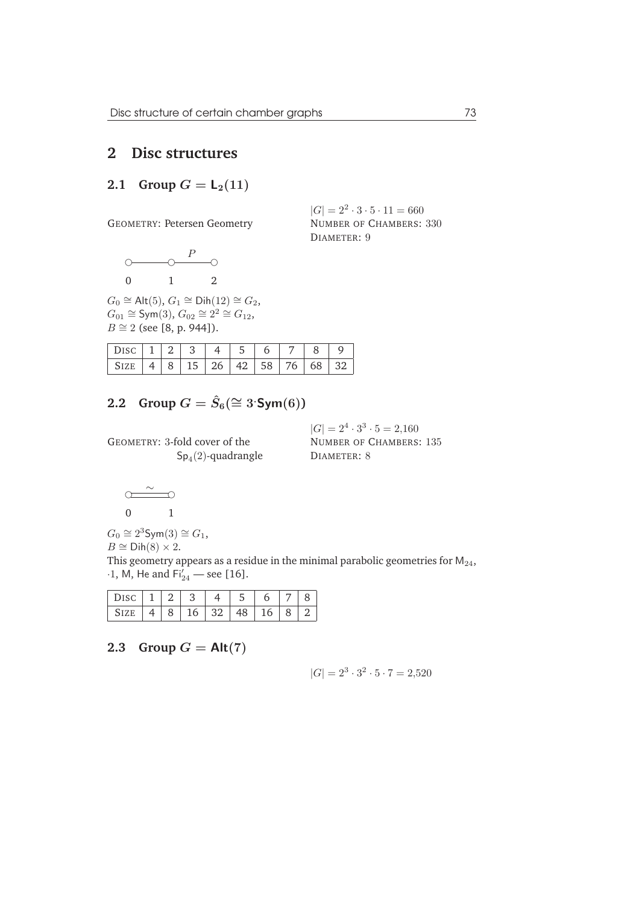# **2 Disc structures**

## **2.1** Group  $G = L_2(11)$

GEOMETRY: Petersen Geometry

$$
\begin{array}{ccc}\n0 & 0 \\
0 & 1\n\end{array}\n\qquad \qquad \begin{array}{c}\n0 \\
\circ \\
0\n\end{array}
$$

 $G_0 \cong \mathsf{Alt}(5)$ ,  $G_1 \cong \mathsf{Dih}(12) \cong G_2$ ,  $G_{01} \cong \text{Sym}(3), G_{02} \cong 2^2 \cong G_{12},$  $B \cong 2$  (see [8, p. 944]).

|  |  | $15 \mid 26 \mid 42 \mid 58 \mid 76$ |  | 68 | יצי ⊺ |
|--|--|--------------------------------------|--|----|-------|

# **2.2** Group  $G = \hat{S}_6 (\cong 3 \text{Sym}(6))$

GEOMETRY: 3-fold cover of the  $\mathsf{Sp}_4(2)$ -quadrangle NUMBER OF CHAMBERS: 330 DIAMETER: 9

 $|G| = 2^2 \cdot 3 \cdot 5 \cdot 11 = 660$ 

 $|G| = 2^4 \cdot 3^3 \cdot 5 = 2,160$ NUMBER OF CHAMBERS: 135 DIAMETER: 8

$$
\begin{array}{c}\n\sim \\
\sim \\
0 & 1\n\end{array}
$$

$$
G_0 \cong 2^3 \text{Sym}(3) \cong G_1,
$$

 $B \cong \text{Dih}(8) \times 2$ .

This geometry appears as a residue in the minimal parabolic geometries for  $M_{24}$ ,  $\cdot 1$ , M, He and  $Fi'_{24}$  — see [16].

| DISC |  | ັ |  |  |  |
|------|--|---|--|--|--|
|      |  |   |  |  |  |

2.3 Group  $G = Alt(7)$ 

$$
|G| = 2^3 \cdot 3^2 \cdot 5 \cdot 7 = 2,520
$$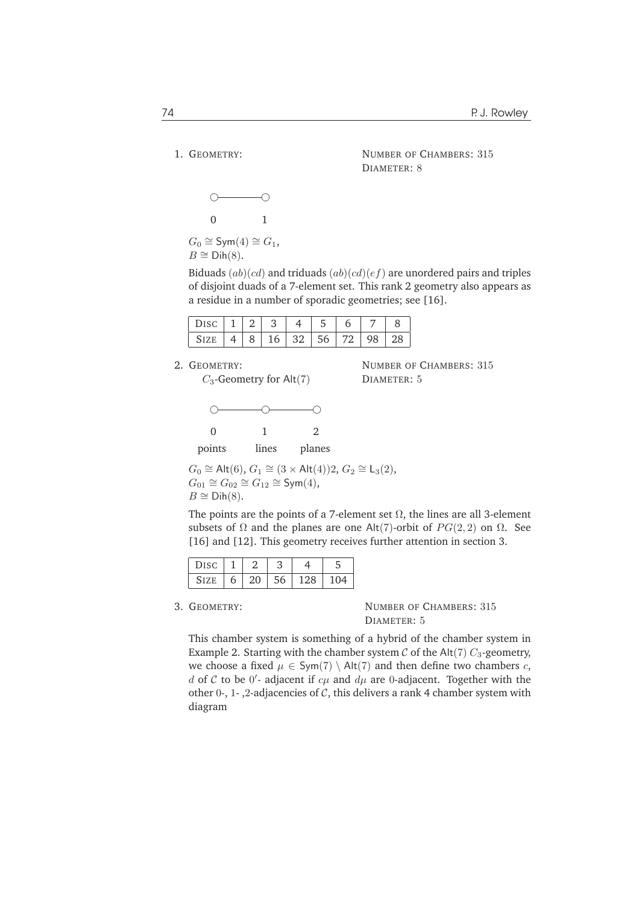1. GEOMETRY:

NUMBER OF CHAMBERS: 315 DIAMETER: 8

NUMBER OF CHAMBERS: 315

DIAMETER: 5

$$
\begin{matrix}\n0 & 0 \\
0 & 1\n\end{matrix}
$$

 $G_0 \cong \mathsf{Sym}(4) \cong G_1$ ,  $B \cong \text{Dih}(8)$ .

Biduads  $(ab)(cd)$  and triduads  $(ab)(cd)(ef)$  are unordered pairs and triples of disjoint duads of a 7-element set. This rank 2 geometry also appears as a residue in a number of sporadic geometries; see [16].

|  |  |  | $18$   16   32   56   72   ' | $.98 \pm 28$ |  |
|--|--|--|------------------------------|--------------|--|

2. GEOMETRY:

 $C_3$ -Geometry for Alt $(7)$ 

❢ ❢ ❢ 0 1 2

points lines planes

$$
G_0 \cong \text{Alt}(6), G_1 \cong (3 \times \text{Alt}(4))2, G_2 \cong L_3(2),
$$
  
\n
$$
G_{01} \cong G_{02} \cong G_{12} \cong \text{Sym}(4),
$$
  
\n
$$
B \cong \text{Dih}(8).
$$

The points are the points of a 7-element set  $\Omega$ , the lines are all 3-element subsets of  $\Omega$  and the planes are one Alt(7)-orbit of  $PG(2, 2)$  on  $\Omega$ . See [16] and [12]. This geometry receives further attention in section 3.

| Disc        |   |    |    |     |     |
|-------------|---|----|----|-----|-----|
| <b>SIZE</b> | h | 20 | 56 | 128 | 104 |

3. GEOMETRY: NUMBER OF CHAMBERS: 315 DIAMETER: 5

This chamber system is something of a hybrid of the chamber system in Example 2. Starting with the chamber system  $\mathcal C$  of the Alt(7)  $C_3$ -geometry, we choose a fixed  $\mu \in Sym(7) \setminus Alt(7)$  and then define two chambers c, d of C to be  $0'$ - adjacent if  $c\mu$  and  $d\mu$  are 0-adjacent. Together with the other 0-, 1-, 2-adjacencies of  $C$ , this delivers a rank 4 chamber system with diagram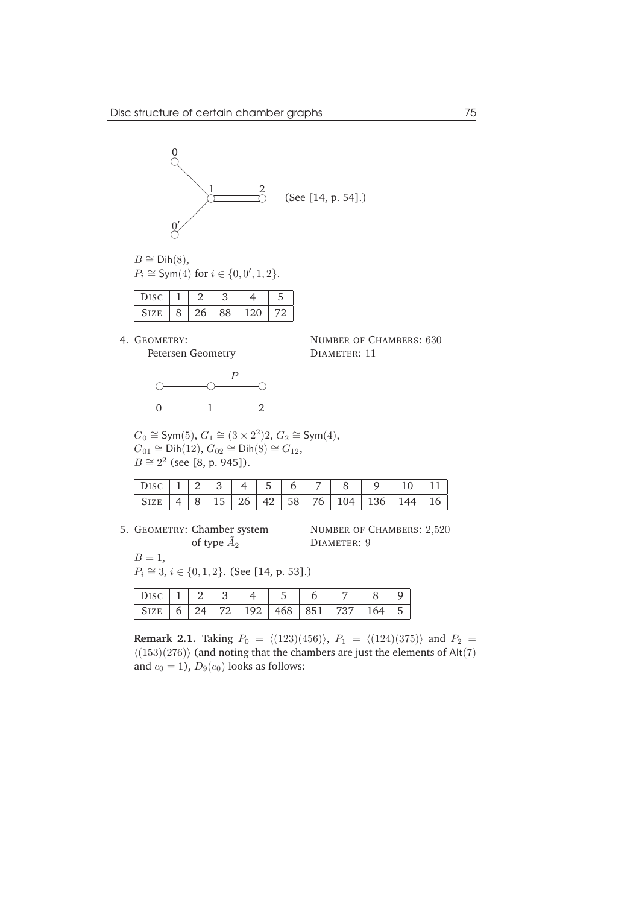

$$
B \cong \text{Dih}(8),
$$
  

$$
P_i \cong \text{Sym}(4) \text{ for } i \in \{0, 0', 1, 2\}.
$$

| <b>DISC</b> |   |    |    |       |  |
|-------------|---|----|----|-------|--|
| <b>SIZE</b> | 8 | 26 | 88 | 1 ን በ |  |

4. GEOMETRY: Petersen Geometry



NUMBER OF CHAMBERS: 630 DIAMETER: 11

| $G_0 \cong \text{Sym}(5)$ , $G_1 \cong (3 \times 2^2)2$ , $G_2 \cong \text{Sym}(4)$ , |
|---------------------------------------------------------------------------------------|
| $G_{01} \cong \text{Dih}(12), G_{02} \cong \text{Dih}(8) \cong G_{12}$ ,              |
| $B \cong 2^2$ (see [8, p. 945]).                                                      |

5. GEOMETRY: Chamber system of type  $\tilde A_2$ 

NUMBER OF CHAMBERS: 2,520 DIAMETER: 9

$$
B=1,
$$

 $P_i \cong 3, i \in \{0, 1, 2\}.$  (See [14, p. 53].)

| Disc 1   2   3   4   5                               |  |  |  |  |  |
|------------------------------------------------------|--|--|--|--|--|
| SIZE   6   24   72   192   468   851   737   164   5 |  |  |  |  |  |

**Remark 2.1.** Taking  $P_0 = \langle (123)(456) \rangle$ ,  $P_1 = \langle (124)(375) \rangle$  and  $P_2 =$  $\langle (153)(276) \rangle$  (and noting that the chambers are just the elements of Alt(7) and  $c_0 = 1$ ,  $D_9(c_0)$  looks as follows: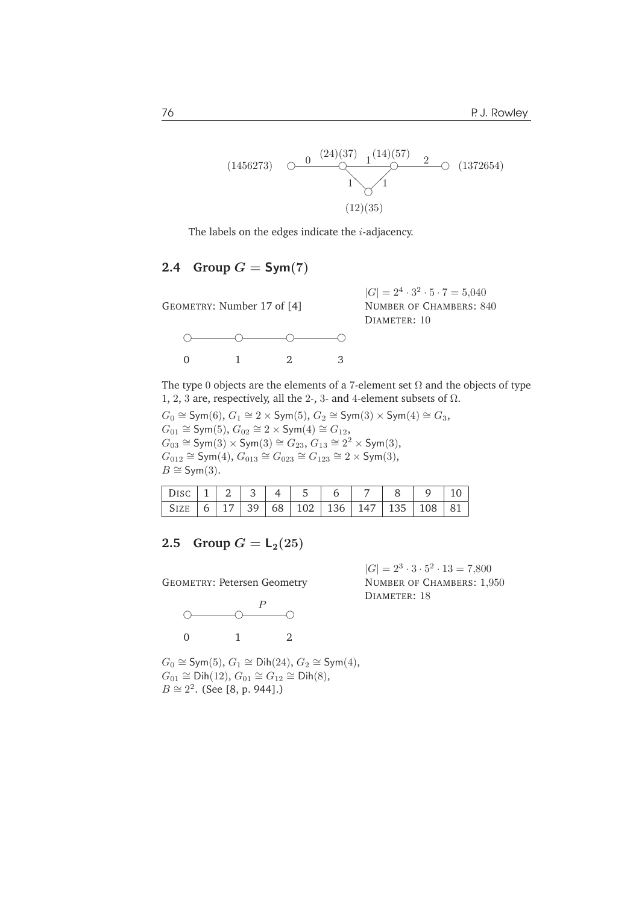$$
(1456273) \quad \bigcirc \quad \frac{0 \quad (24)(37)}{1} \quad \frac{1}{1} \quad \frac{1}{1} \quad \frac{2}{1} \quad \bigcirc \quad (1372654)
$$
\n
$$
(12)(35)
$$

The labels on the edges indicate the  $i$ -adjacency.

## 2.4 Group  $G = Sym(7)$

GEOMETRY: Number 17 of [4]  $\begin{picture}(180,10) \put(0,0){\dashbox{0}} \put(10,0){\circle{10}} \put(10,0){\circle{10}} \put(10,0){\circle{10}} \put(10,0){\circle{10}} \put(10,0){\circle{10}} \put(10,0){\circle{10}} \put(10,0){\circle{10}} \put(10,0){\circle{10}} \put(10,0){\circle{10}} \put(10,0){\circle{10}} \put(10,0){\circle{10}} \put(10,0){\circle{10}} \put(10,0){\circle{10}} \put(10,0){\circle{10$ 0 1 2 3

 $|G| = 2^4 \cdot 3^2 \cdot 5 \cdot 7 = 5,040$ NUMBER OF CHAMBERS: 840 DIAMETER: 10

The type 0 objects are the elements of a 7-element set  $\Omega$  and the objects of type 1, 2, 3 are, respectively, all the 2-, 3- and 4-element subsets of  $\Omega$ .

 $G_0 \cong \mathsf{Sym}(6)$ ,  $G_1 \cong 2 \times \mathsf{Sym}(5)$ ,  $G_2 \cong \mathsf{Sym}(3) \times \mathsf{Sym}(4) \cong G_3$ ,  $G_{01} \cong Sym(5)$ ,  $G_{02} \cong 2 \times Sym(4) \cong G_{12}$ ,  $G_{03} \cong \mathsf{Sym}(3) \times \mathsf{Sym}(3) \cong G_{23}, G_{13} \cong 2^2 \times \mathsf{Sym}(3),$  $G_{012} \cong Sym(4), G_{013} \cong G_{023} \cong G_{123} \cong 2 \times Sym(3),$  $B \cong Sym(3)$ .

| Disc 1   2   3   4   5   6                                                                                                             |  |  |  |  | 78910 |  |
|----------------------------------------------------------------------------------------------------------------------------------------|--|--|--|--|-------|--|
| $\vert$ SIZE $\vert$ 6 $\vert$ 17 $\vert$ 39 $\vert$ 68 $\vert$ 102 $\vert$ 136 $\vert$ 147 $\vert$ 135 $\vert$ 108 $\vert$ 81 $\vert$ |  |  |  |  |       |  |

#### **2.5** Group  $G = L_2(25)$

GEOMETRY: Petersen Geometry



 $|G| = 2^3 \cdot 3 \cdot 5^2 \cdot 13 = 7,800$ NUMBER OF CHAMBERS: 1,950 DIAMETER: 18

 $G_0 \cong \mathsf{Sym}(5)$ ,  $G_1 \cong \mathsf{Dih}(24)$ ,  $G_2 \cong \mathsf{Sym}(4)$ ,  $G_{01} \cong \text{Dih}(12), G_{01} \cong G_{12} \cong \text{Dih}(8),$  $B \cong 2^2$ . (See [8, p. 944].)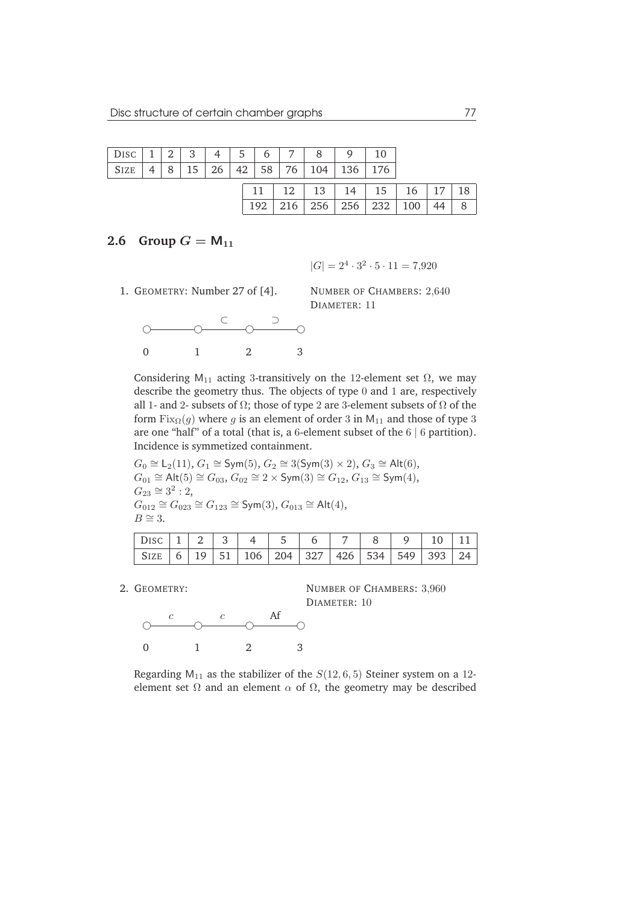| Disc        | 2 | 3 | $\frac{1}{1}$ 4 $\frac{1}{1}$ |    | 5   | 6 7             | 8                         | 9   | 10  |     |    |    |
|-------------|---|---|-------------------------------|----|-----|-----------------|---------------------------|-----|-----|-----|----|----|
| <b>SIZE</b> |   |   | 26                            | 42 | 58  | 76 <sub>1</sub> | .04                       | 136 | 176 |     |    |    |
|             |   |   |                               |    |     |                 | $12 \mid 13 \mid 14 \mid$ |     | 15  | 16  | 17 | 18 |
|             |   |   |                               |    | 192 | 216             | 256                       | 256 | 232 | 100 |    |    |

## **2.6** Group  $G = M_{11}$

 $|G| = 2^4 \cdot 3^2 \cdot 5 \cdot 11 = 7,920$ 

1. GEOMETRY: Number 27 of [4].



NUMBER OF CHAMBERS: 2,640 DIAMETER: 11

Considering M<sub>11</sub> acting 3-transitively on the 12-element set  $\Omega$ , we may describe the geometry thus. The objects of type 0 and 1 are, respectively all 1- and 2- subsets of  $\Omega$ ; those of type 2 are 3-element subsets of  $\Omega$  of the form  $Fix_{\Omega}(g)$  where g is an element of order 3 in  $M_{11}$  and those of type 3 are one "half" of a total (that is, a 6-element subset of the  $6 \mid 6$  partition). Incidence is symmetized containment.

$$
G_0 \cong L_2(11), G_1 \cong Sym(5), G_2 \cong 3(Sym(3) \times 2), G_3 \cong Alt(6),
$$
  
\n
$$
G_{01} \cong Alt(5) \cong G_{03}, G_{02} \cong 2 \times Sym(3) \cong G_{12}, G_{13} \cong Sym(4),
$$
  
\n
$$
G_{23} \cong 3^2 : 2,
$$
  
\n
$$
G_{012} \cong G_{023} \cong G_{123} \cong Sym(3), G_{013} \cong Alt(4),
$$
  
\n
$$
B \cong 3.
$$

| $  \text{ Disc }   1   2   3   4   5   6   7   8   9   10   11  $ |  |  |  |  |  |  |
|-------------------------------------------------------------------|--|--|--|--|--|--|
| SIZE   6   19   51   106   204   327   426   534   549   393   24 |  |  |  |  |  |  |

2. GEOMETRY:

NUMBER OF CHAMBERS: 3,960 DIAMETER: 10



Regarding  $M_{11}$  as the stabilizer of the  $S(12, 6, 5)$  Steiner system on a 12element set  $\Omega$  and an element  $\alpha$  of  $\Omega$ , the geometry may be described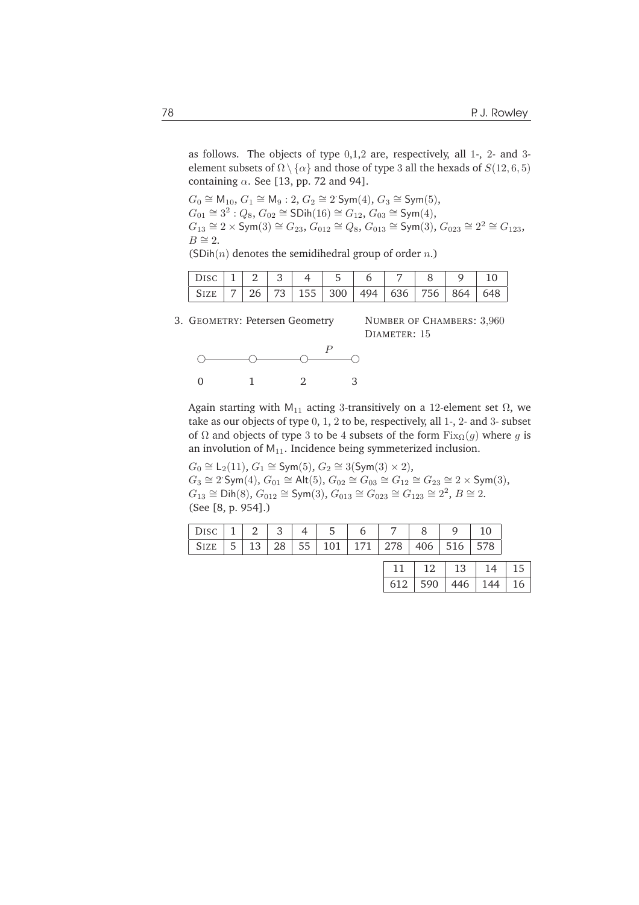as follows. The objects of type 0,1,2 are, respectively, all 1-, 2- and 3 element subsets of  $\Omega \setminus \{\alpha\}$  and those of type 3 all the hexads of  $S(12, 6, 5)$ containing  $\alpha$ . See [13, pp. 72 and 94].

$$
G_0 \cong M_{10}, G_1 \cong M_9: 2, G_2 \cong 2 \text{ Sym}(4), G_3 \cong \text{Sym}(5),
$$
  
\n
$$
G_{01} \cong 3^2: Q_8, G_{02} \cong \text{SDih}(16) \cong G_{12}, G_{03} \cong \text{Sym}(4),
$$
  
\n
$$
G_{13} \cong 2 \times \text{Sym}(3) \cong G_{23}, G_{012} \cong Q_8, G_{013} \cong \text{Sym}(3), G_{023} \cong 2^2 \cong G_{123},
$$
  
\n
$$
B \cong 2.
$$

|  |  |  | (SDih $(n)$ denotes the semidihedral group of order <i>n</i> .) |
|--|--|--|-----------------------------------------------------------------|
|--|--|--|-----------------------------------------------------------------|

| DISC   1   2   3   4   5   6   7   8   9   10 |  |  |  |  |  |
|-----------------------------------------------|--|--|--|--|--|
| SIZE 7 26 73 155 300 494 636 756 864 648      |  |  |  |  |  |

3. GEOMETRY: Petersen Geometry

NUMBER OF CHAMBERS: 3,960 DIAMETER: 15



Again starting with M<sub>11</sub> acting 3-transitively on a 12-element set  $\Omega$ , we take as our objects of type 0, 1, 2 to be, respectively, all 1-, 2- and 3- subset of  $\Omega$  and objects of type 3 to be 4 subsets of the form  $Fix_{\Omega}(g)$  where g is an involution of  $M_{11}$ . Incidence being symmeterized inclusion.

$$
G_0 \cong L_2(11), G_1 \cong Sym(5), G_2 \cong 3(Sym(3) \times 2),
$$
  
\n
$$
G_3 \cong 2^{\cdot}Sym(4), G_{01} \cong Alt(5), G_{02} \cong G_{03} \cong G_{12} \cong G_{23} \cong 2 \times Sym(3),
$$
  
\n
$$
G_{13} \cong Dih(8), G_{012} \cong Sym(3), G_{013} \cong G_{023} \cong G_{123} \cong 2^2, B \cong 2.
$$
  
\n(See [8, p. 954].)

|                                                             |  |  | DISC   1   2   3   4   5   6 |  |  |
|-------------------------------------------------------------|--|--|------------------------------|--|--|
| SIZE   5   13   28   55   101   171   278   406   516   578 |  |  |                              |  |  |

| ני ו      | 13  |     | 15 |
|-----------|-----|-----|----|
| $612$ 590 | 446 | 144 | 16 |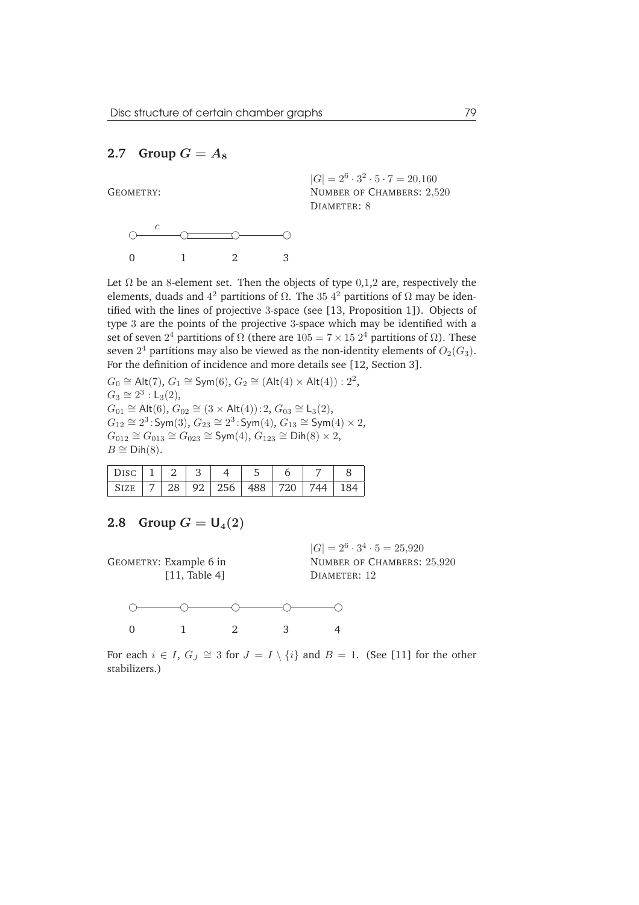## 2.7 Group  $G = A_8$



 $|G| = 2^6 \cdot 3^2 \cdot 5 \cdot 7 = 20,160$ NUMBER OF CHAMBERS: 2,520 DIAMETER: 8



Let  $\Omega$  be an 8-element set. Then the objects of type 0,1,2 are, respectively the elements, duads and  $4^2$  partitions of  $\Omega$ . The 35  $4^2$  partitions of  $\Omega$  may be identified with the lines of projective 3-space (see [13, Proposition 1]). Objects of type 3 are the points of the projective 3-space which may be identified with a set of seven  $2^4$  partitions of  $\Omega$  (there are  $105 = 7 \times 15\ 2^4$  partitions of  $\Omega$ ). These seven  $2^4$  partitions may also be viewed as the non-identity elements of  $O_2(G_3)$ . For the definition of incidence and more details see [12, Section 3].

 $G_0 \cong \mathsf{Alt}(7), G_1 \cong \mathsf{Sym}(6), G_2 \cong (\mathsf{Alt}(4) \times \mathsf{Alt}(4)) : 2^2,$  $G_3 \cong 2^3 : L_3(2),$  $G_{01} \cong$  Alt $(6)$ ,  $G_{02} \cong (3 \times$  Alt $(4))$ : 2,  $G_{03} \cong L_3(2)$ ,  $G_{12} \cong 2^3$ : Sym(3),  $G_{23} \cong 2^3$ : Sym(4),  $G_{13} \cong$  Sym(4) × 2,  $G_{012} \cong G_{013} \cong G_{023} \cong \text{Sym}(4), G_{123} \cong \text{Dih}(8) \times 2,$  $B \cong \text{Dih}(8)$ .

|  | c  |                 |     |    |     |  |
|--|----|-----------------|-----|----|-----|--|
|  | Q2 | $\frac{1}{256}$ | 488 | 20 | 744 |  |

#### **2.8** Group  $G = U_4(2)$



 $|G| = 2^6 \cdot 3^4 \cdot 5 = 25,920$ NUMBER OF CHAMBERS: 25,920 DIAMETER: 12



For each  $i \in I$ ,  $G_J \cong 3$  for  $J = I \setminus \{i\}$  and  $B = 1$ . (See [11] for the other stabilizers.)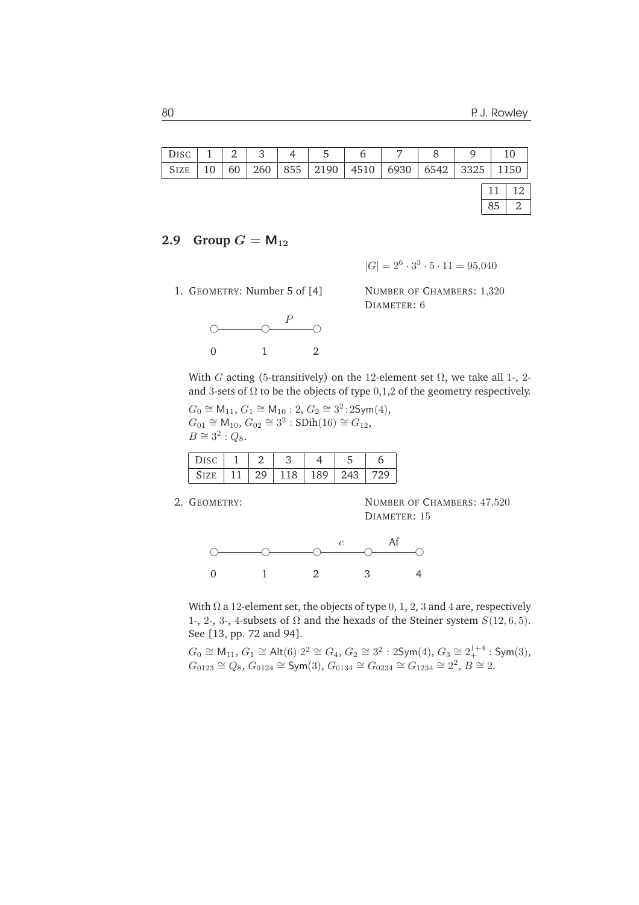|      |               |    |     | DISC   1   2   3   4   5   6 |                                        | $\frac{1}{2}$ 7 $\frac{1}{2}$ | 8 <sup>1</sup> | $\Omega$ |    | <sup>10</sup> |
|------|---------------|----|-----|------------------------------|----------------------------------------|-------------------------------|----------------|----------|----|---------------|
| Size | <sup>10</sup> | 60 | 260 |                              | 855   2190   4510   6930   6542   3325 |                               |                |          |    | 1150          |
|      |               |    |     |                              |                                        |                               |                |          | 11 | 12            |
|      |               |    |     |                              |                                        |                               |                |          | 85 |               |

### **2.9** Group  $G = M_{12}$

 $|G| = 2^6 \cdot 3^3 \cdot 5 \cdot 11 = 95,040$ 

1. GEOMETRY: Number 5 of [4]



NUMBER OF CHAMBERS: 1,320 DIAMETER: 6

With G acting (5-transitively) on the 12-element set  $\Omega$ , we take all 1-, 2and 3-sets of  $\Omega$  to be the objects of type 0,1,2 of the geometry respectively.

 $G_0 \cong M_{11}$ ,  $G_1 \cong M_{10}$ : 2,  $G_2 \cong 3^2$ : 2Sym $(4)$ ,  $G_{01} \cong M_{10}$ ,  $G_{02} \cong 3^2$ : SDih(16)  $\cong G_{12}$ ,  $B \cong 3^2$ :  $Q_8$ .

| $\sim$ $\sim$<br>DISC |   |  |     |  |
|-----------------------|---|--|-----|--|
|                       | . |  | 243 |  |

2. GEOMETRY:

NUMBER OF CHAMBERS: 47,520 DIAMETER: 15



With  $\Omega$  a 12-element set, the objects of type 0, 1, 2, 3 and 4 are, respectively 1-, 2-, 3-, 4-subsets of  $\Omega$  and the hexads of the Steiner system  $S(12, 6, 5)$ . See [13, pp. 72 and 94].

 $G_0 \cong$  M<sub>11</sub>,  $G_1 \cong$  Alt $(6)$ ∶2<sup>2</sup>  $\cong$   $G_4$ ,  $G_2 \cong 3^2$  : 2Sym $(4)$ ,  $G_3 \cong 2_+^{1+4}$  : Sym $(3)$ ,  $G_{0123} \cong Q_8$ ,  $G_{0124} \cong \text{Sym}(3)$ ,  $G_{0134} \cong G_{0234} \cong G_{1234} \cong 2^2$ ,  $B \cong 2$ .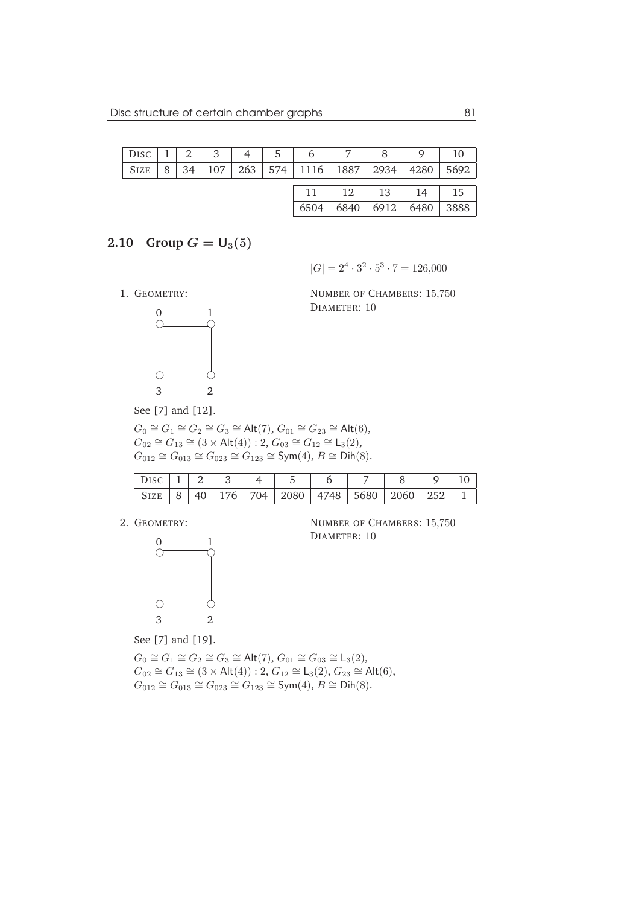| $ $ DISC $ $ 1 |   |    |  | 2345678                                     |      |      | 9                                    | -10  |
|----------------|---|----|--|---------------------------------------------|------|------|--------------------------------------|------|
| SIZE           | 8 | 34 |  | 107   263   574   1116   1887   2934   4280 |      |      |                                      | 5692 |
|                |   |    |  |                                             |      |      | $11 \mid 12 \mid 13 \mid 14 \mid 15$ |      |
|                |   |    |  | 6504                                        | 6840 | 6912 | 6480                                 | 3888 |

## **2.10** Group  $G = U_3(5)$

 $|G| = 2^4 \cdot 3^2 \cdot 5^3 \cdot 7 = 126,000$ 

1. GEOMETRY:



NUMBER OF CHAMBERS: 15,750 DIAMETER: 10

See [7] and [12].

 $G_0 \cong G_1 \cong G_2 \cong G_3 \cong \mathsf{Alt}(7), G_{01} \cong G_{23} \cong \mathsf{Alt}(6),$  $G_{02} \cong G_{13} \cong (3 \times \text{Alt}(4)) : 2, G_{03} \cong G_{12} \cong L_3(2),$  $G_{012} \cong G_{013} \cong G_{023} \cong G_{123} \cong \text{Sym}(4), B \cong \text{Dih}(8).$ 

| DISC   1   2   3   4   5 |  |  |  |                                                             |  |  |
|--------------------------|--|--|--|-------------------------------------------------------------|--|--|
|                          |  |  |  | SIZE   8   40   176   704   2080   4748   5680   2060   252 |  |  |

2. GEOMETRY:



NUMBER OF CHAMBERS: 15,750 DIAMETER: 10

See [7] and [19].

 $G_0 \cong G_1 \cong G_2 \cong G_3 \cong \mathsf{Alt}(7), G_{01} \cong G_{03} \cong \mathsf{L}_3(2),$  $G_{02} \cong G_{13} \cong (3 \times \text{Alt}(4)) : 2, G_{12} \cong L_3(2), G_{23} \cong \text{Alt}(6),$  $G_{012} \cong G_{013} \cong G_{023} \cong G_{123} \cong \text{Sym}(4), B \cong \text{Dih}(8).$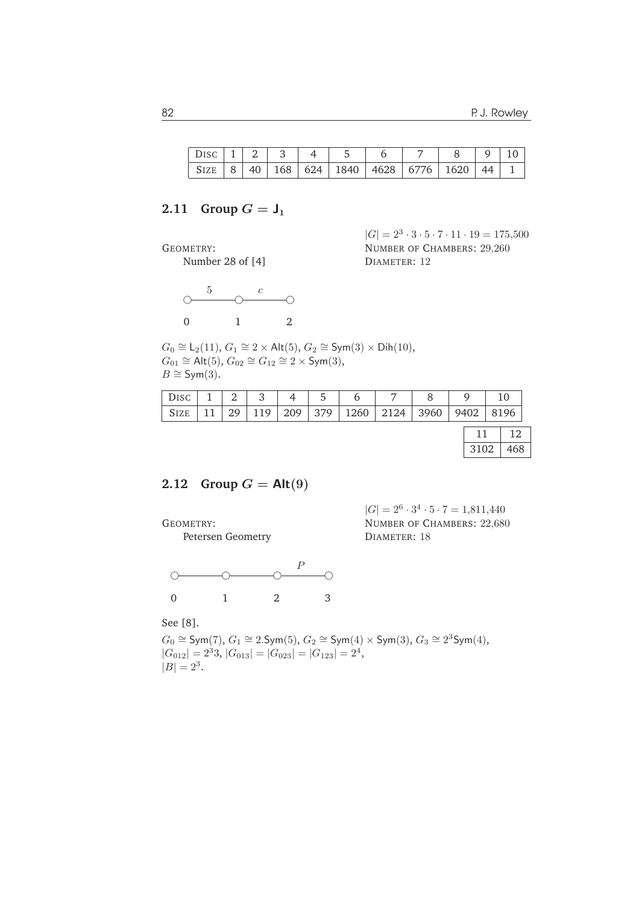|  |  | $DISC   1   2   3   4   5   6   7   8   9   10$ |  |  |  |
|--|--|-------------------------------------------------|--|--|--|
|  |  |                                                 |  |  |  |

## **2.11 Group**  $G = J_1$

GEOMETRY:

Number 28 of [4]



 $|G| = 2^3 \cdot 3 \cdot 5 \cdot 7 \cdot 11 \cdot 19 = 175{,}500$ NUMBER OF CHAMBERS: 29,260 DIAMETER: 12

 $G_0 \cong L_2(11)$ ,  $G_1 \cong 2 \times$  Alt $(5)$ ,  $G_2 \cong$  Sym $(3) \times$  Dih $(10)$ ,  $G_{01} \cong$  Alt(5),  $G_{02} \cong G_{12} \cong 2 \times \text{Sym}(3)$ ,  $B \cong Sym(3)$ .

| $_{\rm DISC}$ | 2  | $\mathbf{Q}$ | 4   | 5    |               |      |      | 10   |
|---------------|----|--------------|-----|------|---------------|------|------|------|
| <b>SIZE</b>   | 29 | 119          | 209 | 1379 | $1260$   2124 | 3960 | 9402 | 8196 |
|               |    |              |     |      |               |      |      | 12   |
|               |    |              |     |      |               |      | 3102 | 468  |

## **2.12** Group  $G =$  Alt $(9)$

GEOMETRY:

Petersen Geometry

 $|G| = 2^6 \cdot 3^4 \cdot 5 \cdot 7 = 1,811,440$ NUMBER OF CHAMBERS: 22,680 DIAMETER: 18



See [8].

 $G_0 \cong \text{Sym}(7)$ ,  $G_1 \cong 2.\text{Sym}(5)$ ,  $G_2 \cong \text{Sym}(4) \times \text{Sym}(3)$ ,  $G_3 \cong 2^3\text{Sym}(4)$ ,  $|G_{012}| = 2^3 3, |G_{013}| = |G_{023}| = |G_{123}| = 2^4,$  $|B| = 2^3$ .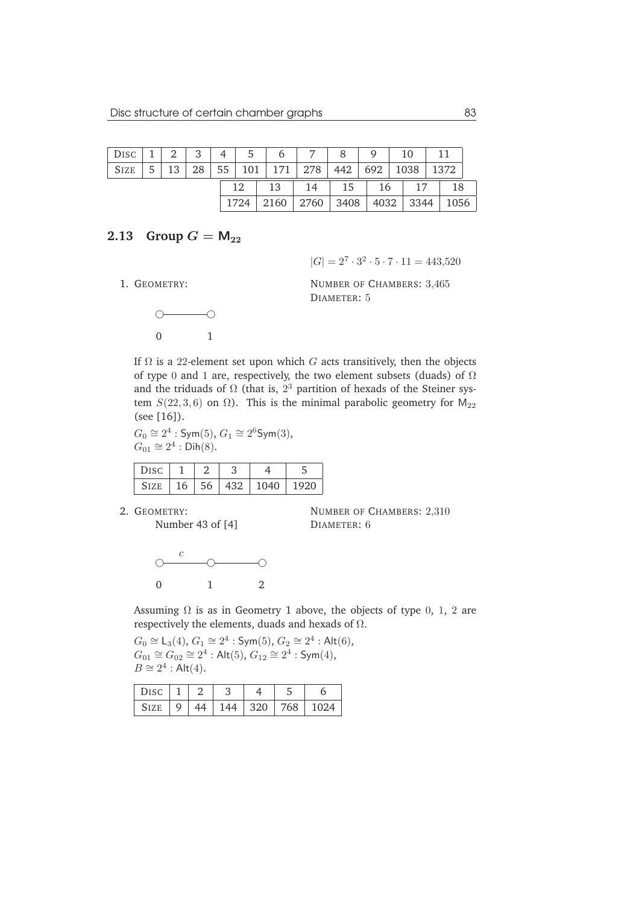| DISC $\vert 1 \vert 2 \vert$ |    | 3 <sup>1</sup> |    | 4 5 6 7 8            |              |      | $\mathsf{Q}$ | 10            |      |
|------------------------------|----|----------------|----|----------------------|--------------|------|--------------|---------------|------|
| SIZE                         | 13 | 28             |    | 55   101   171   278 |              | 442  | 692          | $1038$   1372 |      |
|                              |    |                | 12 | 13                   | 14   15   16 |      |              | 17            | 18   |
|                              |    |                |    | $1724$   2160        | 2760         | 3408 | 4032   3344  |               | 1056 |

### **2.13** Group  $G = M_{22}$

 $|G| = 2^7 \cdot 3^2 \cdot 5 \cdot 7 \cdot 11 = 443{,}520$ 

1. GEOMETRY:

NUMBER OF CHAMBERS: 3,465 DIAMETER: 5



If  $\Omega$  is a 22-element set upon which G acts transitively, then the objects of type 0 and 1 are, respectively, the two element subsets (duads) of  $\Omega$ and the triduads of  $\Omega$  (that is,  $2^3$  partition of hexads of the Steiner system  $S(22, 3, 6)$  on  $\Omega$ ). This is the minimal parabolic geometry for  $M_{22}$ (see [16]).

 $G_0 \cong 2^4$ : Sym(5),  $G_1 \cong 2^6$ Sym(3),  $G_{01} \cong 2^4 : \mathsf{Dih}(8).$ 

| DISC  |    |     |     |     |      |
|-------|----|-----|-----|-----|------|
| 517 F | 16 | -56 | 432 | 040 | 1920 |

2. GEOMETRY:

```
NUMBER OF CHAMBERS: 2,310
DIAMETER: 6
```


Number 43 of [4]

Assuming  $\Omega$  is as in Geometry 1 above, the objects of type 0, 1, 2 are respectively the elements, duads and hexads of Ω.

 $G_0 \cong L_3(4)$ ,  $G_1 \cong 2^4 : Sym(5)$ ,  $G_2 \cong 2^4 : Alt(6)$ ,  $G_{01} \cong G_{02} \cong 2^4$ : Alt $(5)$ ,  $G_{12} \cong 2^4$ : Sym $(4)$ ,  $B \cong 2^4$ : Alt $(4)$ .

| Disc              |  | ັ   |     |     |      |
|-------------------|--|-----|-----|-----|------|
| $\mathsf{S}$ 17 F |  | 144 | 320 | 768 | 1024 |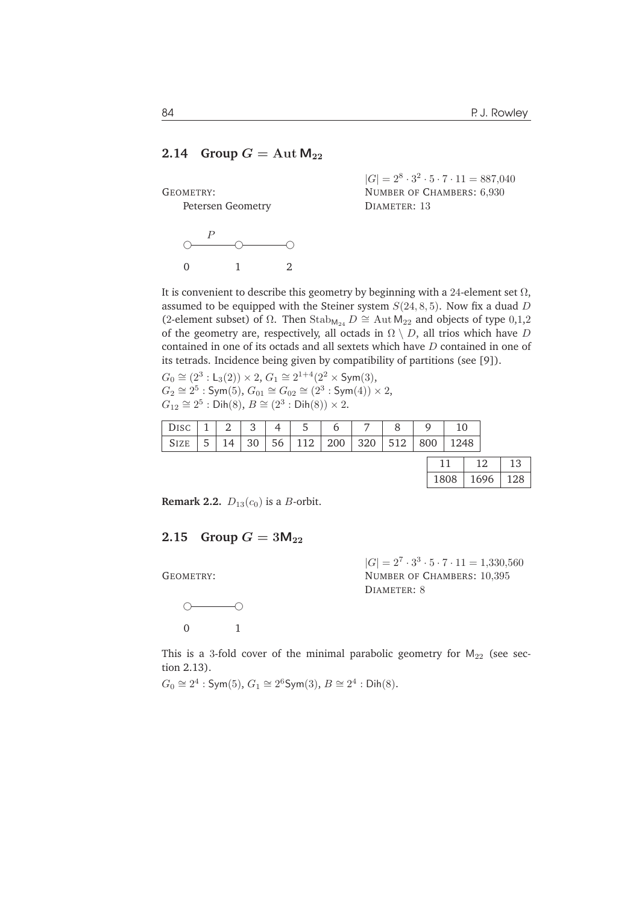#### **2.14** Group  $G = \text{Aut } M_{22}$

GEOMETRY:

Petersen Geometry



 $|G| = 2^8 \cdot 3^2 \cdot 5 \cdot 7 \cdot 11 = 887,040$ NUMBER OF CHAMBERS: 6,930 DIAMETER: 13

It is convenient to describe this geometry by beginning with a 24-element set  $\Omega$ , assumed to be equipped with the Steiner system  $S(24, 8, 5)$ . Now fix a duad D (2-element subset) of  $\Omega$ . Then Stab<sub>M<sub>24</sub></sub>  $D \cong$  Aut M<sub>22</sub> and objects of type 0,1,2 of the geometry are, respectively, all octads in  $\Omega \setminus D$ , all trios which have D contained in one of its octads and all sextets which have D contained in one of its tetrads. Incidence being given by compatibility of partitions (see [9]).

 $G_0 \cong (2^3 : L_3(2)) \times 2$ ,  $G_1 \cong 2^{1+4}(2^2 \times \text{Sym}(3))$ ,  $G_2 \cong 2^5 : \mathsf{Sym}(5)$ ,  $G_{01} \cong G_{02} \cong (2^3 : \mathsf{Sym}(4)) \times 2$ ,  $G_{12} \cong 2^5 : \mathsf{Dih}(8), B \cong (2^3 : \mathsf{Dih}(8)) \times 2.$ 

| DISC   $1$   $2$   $3$                    |  |    | 5 |                            |  |                  |      |  |
|-------------------------------------------|--|----|---|----------------------------|--|------------------|------|--|
| $\vert$ Size $\vert$ 5 $\vert$ 14 $\vert$ |  | 30 |   | 56   112   200   320   512 |  | 800 <sub>1</sub> | 1248 |  |
|                                           |  |    |   |                            |  |                  |      |  |

**Remark 2.2.**  $D_{13}(c_0)$  is a *B*-orbit.

#### **2.15** Group  $G = 3M_{22}$

GEOMETRY:



 $|G| = 2^7 \cdot 3^3 \cdot 5 \cdot 7 \cdot 11 = 1,330,560$ NUMBER OF CHAMBERS: 10,395 DIAMETER: 8

This is a 3-fold cover of the minimal parabolic geometry for  $M_{22}$  (see section 2.13).

 $G_0 \cong 2^4$ : Sym(5),  $G_1 \cong 2^6$ Sym(3),  $B \cong 2^4$ : Dih(8).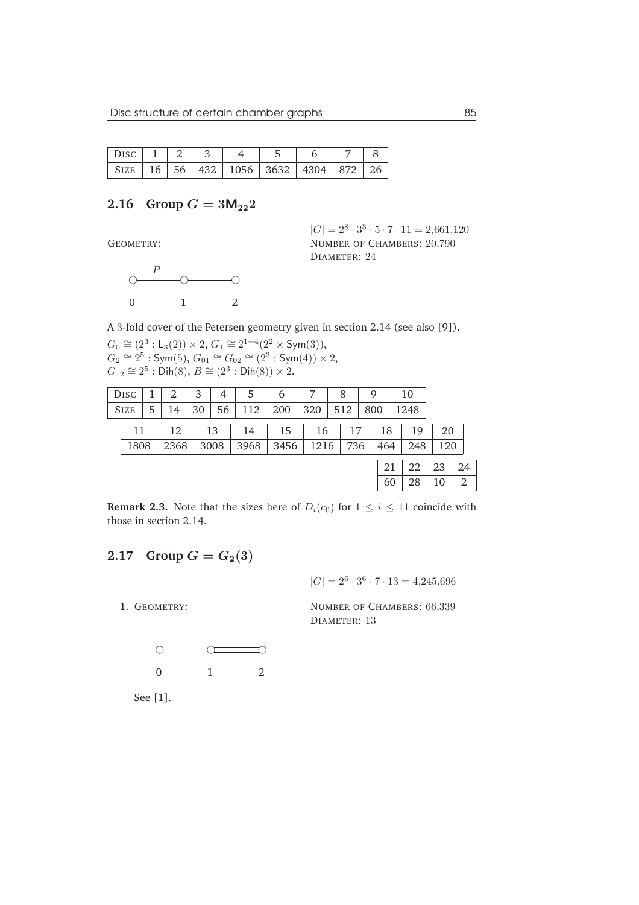|  |  |  | Disc 1   2   3   4   5   6   7   8                                                                           |  |
|--|--|--|--------------------------------------------------------------------------------------------------------------|--|
|  |  |  | $\vert$ SIZE $\vert$ 16 $\vert$ 56 $\vert$ 432 $\vert$ 1056 $\vert$ 3632 $\vert$ 4304 $\vert$ 872 $\vert$ 26 |  |

## **2.16** Group  $G = 3M_{22}2$

GEOMETRY:

 $|G| = 2^8 \cdot 3^3 \cdot 5 \cdot 7 \cdot 11 = 2{,}661{,}120$ NUMBER OF CHAMBERS: 20,790 DIAMETER: 24



A 3-fold cover of the Petersen geometry given in section 2.14 (see also [9]).

 $G_0 \cong (2^3 : L_3(2)) \times 2$ ,  $G_1 \cong 2^{1+4}(2^2 \times \text{Sym}(3)),$  $G_2 \cong 2^5$  : Sym(5),  $G_{01} \cong G_{02} \cong (2^3 : \text{Sym}(4)) \times 2$ ,  $G_{12} \cong 2^5 : \mathsf{Dih}(8), B \cong (2^3 : \mathsf{Dih}(8)) \times 2.$ 

| <b>DISC</b> |   |      | 3  | 4    | 5    | 6    |      | 8   | 9   |     | 10   |     |    |
|-------------|---|------|----|------|------|------|------|-----|-----|-----|------|-----|----|
| <b>SIZE</b> | 5 | 14   | 30 | 56   | 112  | 200  | 320  | 512 | 800 |     | 1248 |     |    |
| 11          |   | 12   |    | 13   | 14   | 15   | 16   | 17  |     | 18  | 19   | 20  |    |
| 1808        |   | 2368 |    | 3008 | 3968 | 3456 | 1216 | 736 |     | 464 | 248  | 120 |    |
|             |   |      |    |      |      |      |      |     |     | 21  | 22   | 23  | 24 |
|             |   |      |    |      |      |      |      |     |     | 60  | 28   | 10  | 2  |

**Remark 2.3.** Note that the sizes here of  $D_i(c_0)$  for  $1 \leq i \leq 11$  coincide with those in section 2.14.

# **2.17** Group  $G = G_2(3)$

 $|G| = 2^6 \cdot 3^6 \cdot 7 \cdot 13 = 4,245,696$ 

NUMBER OF CHAMBERS: 66,339 DIAMETER: 13



See [1].

1. GEOMETRY: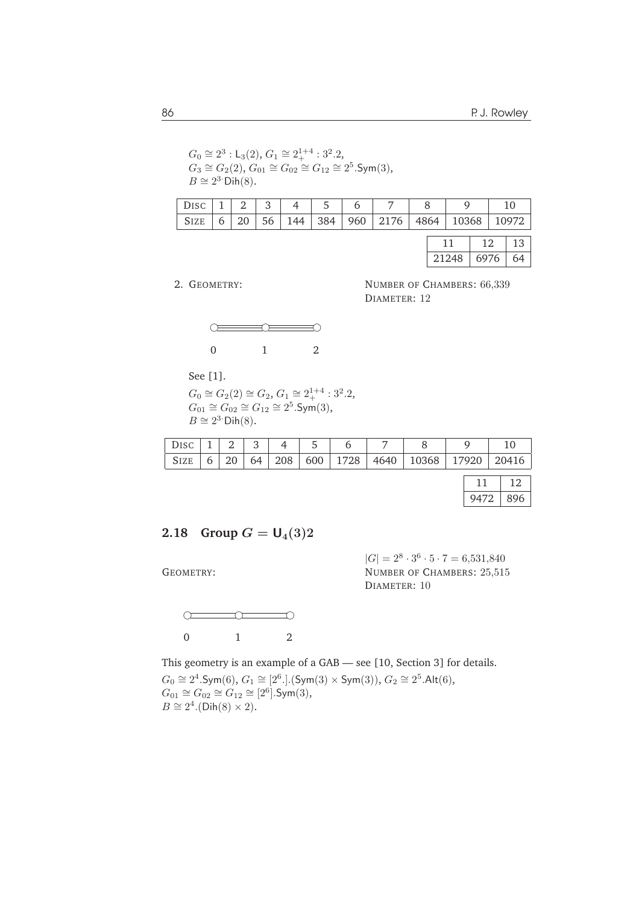$G_0 \cong 2^3$ : L<sub>3</sub>(2),  $G_1 \cong 2_+^{1+4}$ : 3<sup>2</sup>.2,  $G_3 \cong G_2(2)$ ,  $G_{01} \cong G_{02} \cong G_{12} \cong 2^5$ . Sym $(3)$ ,  $B \cong 2^3$  Dih(8).

|  |  | $\sqrt{\text{Disc}  1 }$ 2 3 4 5 6 |  |  |                                                                    |  |
|--|--|------------------------------------|--|--|--------------------------------------------------------------------|--|
|  |  |                                    |  |  | SIZE   6   20   56   144   384   960   2176   4864   10368   10972 |  |
|  |  |                                    |  |  |                                                                    |  |

|       | .    |    |
|-------|------|----|
| 21248 | 6976 | 64 |

2. GEOMETRY:

NUMBER OF CHAMBERS: 66,339 DIAMETER: 12



See [1].

 $G_0 \cong G_2(2) \cong G_2, G_1 \cong 2_+^{1+4} : 3^2.2,$  $G_{01} \cong G_{02} \cong G_{12} \cong 2^5$ .Sym(3),  $B \cong 2^3$  Dih(8).

|  |  |  | 6 6 |  |                                                                      |  |
|--|--|--|-----|--|----------------------------------------------------------------------|--|
|  |  |  |     |  | SIZE   6   20   64   208   600   1728   4640   10368   17920   20416 |  |
|  |  |  |     |  |                                                                      |  |

# **2.18** Group  $G = U_4(3)2$

GEOMETRY:



 $|G| = 2^8 \cdot 3^6 \cdot 5 \cdot 7 = 6{,}531{,}840$ NUMBER OF CHAMBERS: 25,515 DIAMETER: 10

This geometry is an example of a GAB — see [10, Section 3] for details.  $G_0 \cong 2^4$ .Sym(6),  $G_1 \cong [2^6.]$ .(Sym(3) × Sym(3)),  $G_2 \cong 2^5$ .Alt(6),  $G_{01} \cong G_{02} \cong G_{12} \cong [2^6]$ .Sym $(3)$ ,  $B \cong 2^4$ .(Dih(8) × 2).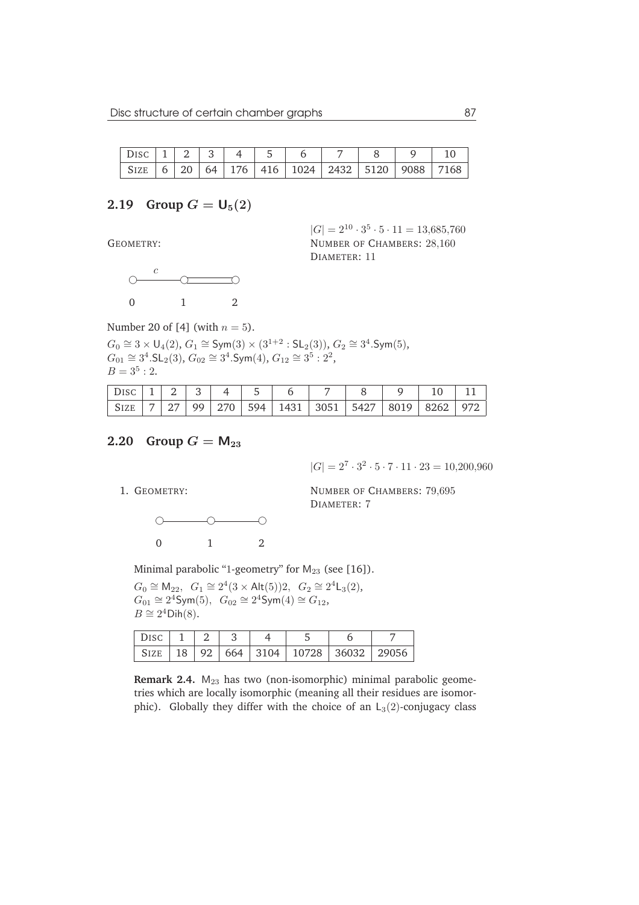|  |  |  |  |  | $DISC \ 1 \ 2 \ 3 \ 4 \ 5 \ 6 \ 7 \ 8 \ 9 \ 10$ |  |
|--|--|--|--|--|-------------------------------------------------|--|
|  |  |  |  |  |                                                 |  |

#### **2.19** Group  $G = U_5(2)$

GEOMETRY:

 $|G| = 2^{10} \cdot 3^5 \cdot 5 \cdot 11 = 13,685,760$ NUMBER OF CHAMBERS: 28,160 DIAMETER: 11



Number 20 of [4] (with  $n = 5$ ).

 $G_0 \cong 3 \times U_4(2)$ ,  $G_1 \cong \text{Sym}(3) \times (3^{1+2} : \text{SL}_2(3))$ ,  $G_2 \cong 3^4$ . Sym $(5)$ ,  $G_{01} \cong 3^4$ .SL<sub>2</sub>(3),  $G_{02} \cong 3^4$ .Sym(4),  $G_{12} \cong 3^5 : 2^2$ ,  $B=3^5:2.$ 

| DISC $\begin{array}{ c c c c c c c c c } \hline 1 & 2 & 3 & 4 \ \hline \end{array}$ |  |  |  |  |                                                   |  |
|-------------------------------------------------------------------------------------|--|--|--|--|---------------------------------------------------|--|
|                                                                                     |  |  |  |  | SIZE 7 27 99 270 594 1431 3051 5427 8019 8262 972 |  |

## **2.20** Group  $G = M_{23}$

 $|G| = 2^7 \cdot 3^2 \cdot 5 \cdot 7 \cdot 11 \cdot 23 = 10,200,960$ 

1. GEOMETRY:

NUMBER OF CHAMBERS: 79,695 DIAMETER: 7

 $0 \longrightarrow 0$ 0 1 2

Minimal parabolic "1-geometry" for  $M_{23}$  (see [16]).

 $G_0 \cong M_{22}$ ,  $G_1 \cong 2^4 (3 \times \text{Alt}(5))2$ ,  $G_2 \cong 2^4 \text{L}_3(2)$ ,  $G_{01} \cong 2^4$ Sym $(5)$ ,  $G_{02} \cong 2^4$ Sym $(4) \cong G_{12}$ ,  $B \cong 2^4$ Dih $(8)$ .

|  |  | SIZE   18   92   664   3104   10728   36032   29056 |  |
|--|--|-----------------------------------------------------|--|

Remark 2.4. M<sub>23</sub> has two (non-isomorphic) minimal parabolic geometries which are locally isomorphic (meaning all their residues are isomorphic). Globally they differ with the choice of an  $L_3(2)$ -conjugacy class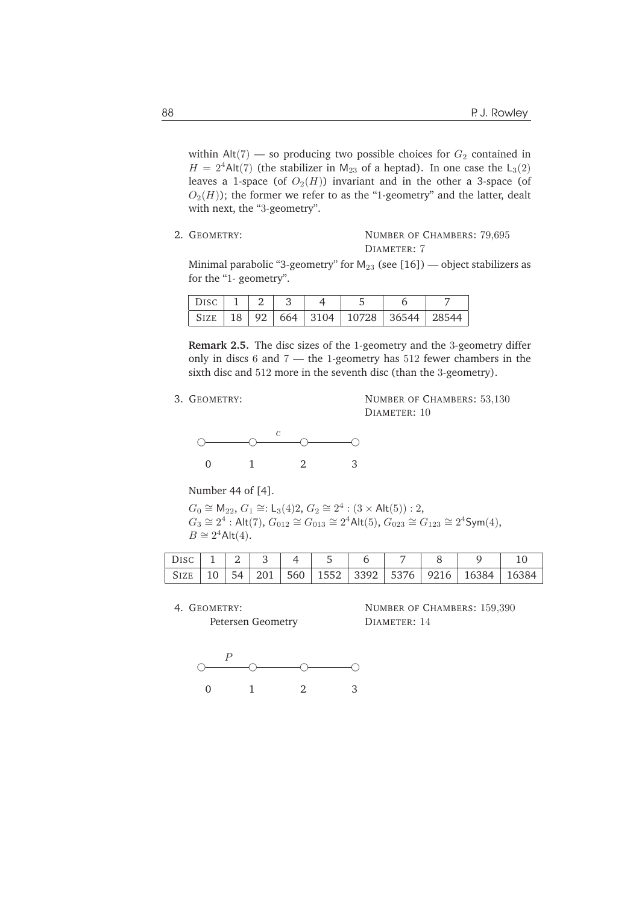within  $Alt(7)$  — so producing two possible choices for  $G_2$  contained in  $H = 2<sup>4</sup>$ Alt(7) (the stabilizer in M<sub>23</sub> of a heptad). In one case the L<sub>3</sub>(2) leaves a 1-space (of  $O_2(H)$ ) invariant and in the other a 3-space (of  $O_2(H)$ ; the former we refer to as the "1-geometry" and the latter, dealt with next, the "3-geometry".

2. GEOMETRY: NUMBER OF CHAMBERS: 79.695 DIAMETER: 7

Minimal parabolic "3-geometry" for  $M_{23}$  (see [16]) — object stabilizers as for the "1- geometry".

| 18 |  | $92 \mid 664 \mid 3104 \mid 10728 \mid$ | 36544 |  |
|----|--|-----------------------------------------|-------|--|

**Remark 2.5.** The disc sizes of the 1-geometry and the 3-geometry differ only in discs 6 and 7 — the 1-geometry has 512 fewer chambers in the sixth disc and 512 more in the seventh disc (than the 3-geometry).

3. GEOMETRY:

NUMBER OF CHAMBERS: 53,130 DIAMETER: 10



Number 44 of [4].

 $G_0 \cong M_{22}$ ,  $G_1 \cong L_3(4)$ 2,  $G_2 \cong 2^4$ :  $(3 \times$  Alt $(5))$ : 2,  $G_3 \cong 2^4$ : Alt(7),  $G_{012} \cong G_{013} \cong 2^4$ Alt(5),  $G_{023} \cong G_{123} \cong 2^4$ Sym(4),  $B \cong 2^4$ Alt $(4)$ .

| Disc 1   2   3   4   5   6 |  |  |  |  |                                                                        |  |
|----------------------------|--|--|--|--|------------------------------------------------------------------------|--|
|                            |  |  |  |  | SIZE   10   54   201   560   1552   3392   5376   9216   16384   16384 |  |

4. GEOMETRY:

Petersen Geometry

NUMBER OF CHAMBERS: 159,390 DIAMETER: 14

 $\begin{picture}(180,10) \put(0,0){\line(1,0){10}} \put(10,0){\line(1,0){10}} \put(10,0){\line(1,0){10}} \put(10,0){\line(1,0){10}} \put(10,0){\line(1,0){10}} \put(10,0){\line(1,0){10}} \put(10,0){\line(1,0){10}} \put(10,0){\line(1,0){10}} \put(10,0){\line(1,0){10}} \put(10,0){\line(1,0){10}} \put(10,0){\line(1,0){10}} \put(10,0){\line($ 0 1 2 3 P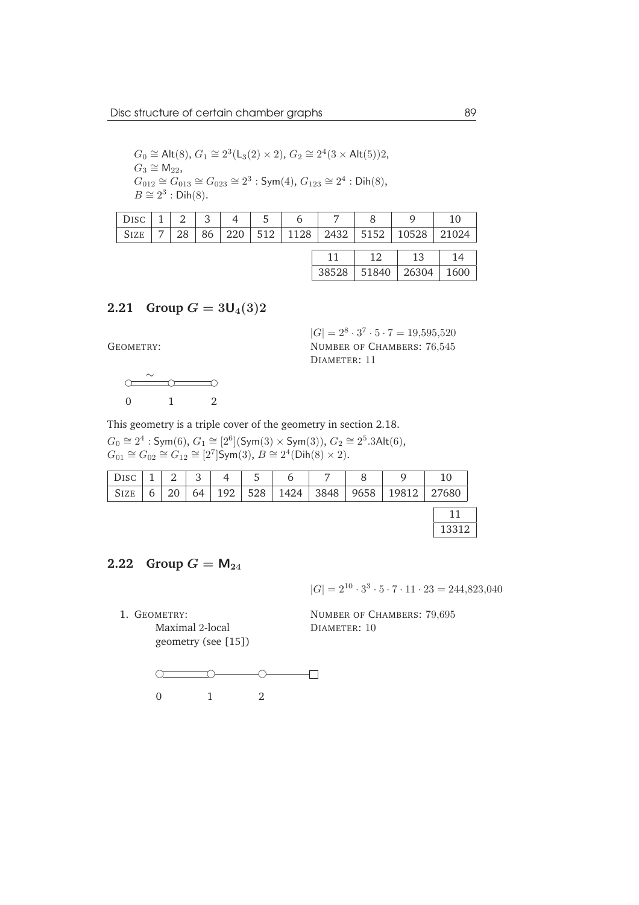$$
G_0 \cong Alt(8), G_1 \cong 2^3(L_3(2) \times 2), G_2 \cong 2^4(3 \times Alt(5))2,
$$
  
\n
$$
G_3 \cong M_{22},
$$
  
\n
$$
G_{012} \cong G_{013} \cong G_{023} \cong 2^3 : Sym(4), G_{123} \cong 2^4 : Dih(8),
$$
  
\n
$$
B \cong 2^3 : Dih(8).
$$

| Disc 1 | 2 <sup>1</sup>  | $3 \mid$ | $4 \mid$ | $5 \mid$ | 6 |  |                                                |  |
|--------|-----------------|----------|----------|----------|---|--|------------------------------------------------|--|
| SIZE   | 28 <sub>1</sub> | 86       |          |          |   |  | 220   512   1128   2432   5152   10528   21024 |  |
|        |                 |          |          |          |   |  |                                                |  |

| ີ≀ນ | 51840 | 26304 | m<br>160 |
|-----|-------|-------|----------|

## **2.21** Group  $G = 3U_4(3)2$

GEOMETRY:

 $\bigcirc$   $\bigcirc$   $\bigcirc$   $\bigcirc$ 0 1 2 ∼

 $|G| = 2^8 \cdot 3^7 \cdot 5 \cdot 7 = 19,595,520$ NUMBER OF CHAMBERS: 76,545 DIAMETER: 11

This geometry is a triple cover of the geometry in section 2.18.

 $G_0 \cong 2^4$  : Sym(6),  $G_1 \cong [2^6]$ (Sym(3) × Sym(3)),  $G_2 \cong 2^5.3$ Alt(6),  $G_{01} \cong G_{02} \cong G_{12} \cong [2^7]$ Sym $(3), B \cong 2^4$ (Dih $(8) \times 2$ ).

| DISC        |   | $\overline{2}$ | $\mathbf{Q}$<br>J |     | 5   | b    | $\overline{ }$ |      |       | 10    |
|-------------|---|----------------|-------------------|-----|-----|------|----------------|------|-------|-------|
| <b>SIZE</b> | 6 | 20             | 64                | 192 | 528 | 1424 | 3848           | 9658 | 19812 | 27680 |
|             |   |                |                   |     |     |      |                |      |       |       |
|             |   |                |                   |     |     |      |                |      |       | 13312 |

## **2.22** Group  $G = M_{24}$

 $|G| = 2^{10} \cdot 3^3 \cdot 5 \cdot 7 \cdot 11 \cdot 23 = 244,823,040$ 

1. GEOMETRY: Maximal 2-local geometry (see [15])

NUMBER OF CHAMBERS: 79,695 DIAMETER: 10

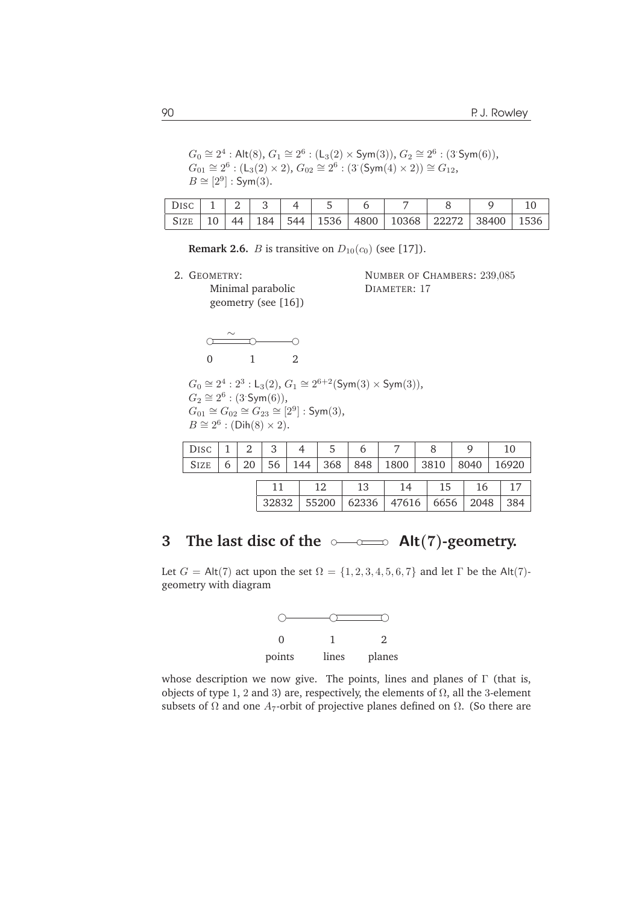$G_0 \cong 2^4 : \mathsf{Alt}(8), G_1 \cong 2^6 : (\mathsf{L}_3(2) \times \mathsf{Sym}(3)), G_2 \cong 2^6 : (3 \cdot \mathsf{Sym}(6)),$  $G_{01} \cong 2^6 : (L_3(2) \times 2), G_{02} \cong 2^6 : (3 \text{ (Sym(4)} \times 2)) \cong G_{12},$  $B \cong [2^9] : \mathsf{Sym}(3).$ 

| Size 10 | $\Delta\Delta$ | $\vert$ 184 $\vert$ |  |  | 544   1536   4800   10368   22272   38400   1536 |  |
|---------|----------------|---------------------|--|--|--------------------------------------------------|--|

**Remark 2.6.** *B* is transitive on  $D_{10}(c_0)$  (see [17]).

2. GEOMETRY:

Minimal parabolic geometry (see [16]) NUMBER OF CHAMBERS: 239,085 DIAMETER: 17



 $G_0 \cong 2^4 : 2^3 : \mathsf{L}_3(2), G_1 \cong 2^{6+2}(\mathsf{Sym}(3) \times \mathsf{Sym}(3)),$  $G_2 \cong 2^6 : (3 \text{-Sym}(6)),$  $G_{01} \cong G_{02} \cong G_{23} \cong [2^9]: \mathsf{Sym}(3),$  $B \cong 2^6 : (\text{Dih}(8) \times 2).$ 

| DISC |  | 3 |  |  |                                                                   |  |  |
|------|--|---|--|--|-------------------------------------------------------------------|--|--|
|      |  |   |  |  | SIZE   6   20   56   144   368   848   1800   3810   8040   16920 |  |  |
|      |  |   |  |  |                                                                   |  |  |
|      |  |   |  |  |                                                                   |  |  |

32832 55200 62336 47616 6656 2048 384

# **3** The last disc of the  $\circ \to \circ \bullet$  Alt(7)-geometry.

Let  $G = Alt(7)$  act upon the set  $\Omega = \{1, 2, 3, 4, 5, 6, 7\}$  and let  $\Gamma$  be the Alt(7)geometry with diagram



whose description we now give. The points, lines and planes of  $\Gamma$  (that is, objects of type 1, 2 and 3) are, respectively, the elements of  $Ω$ , all the 3-element subsets of  $\Omega$  and one  $A_7$ -orbit of projective planes defined on  $\Omega$ . (So there are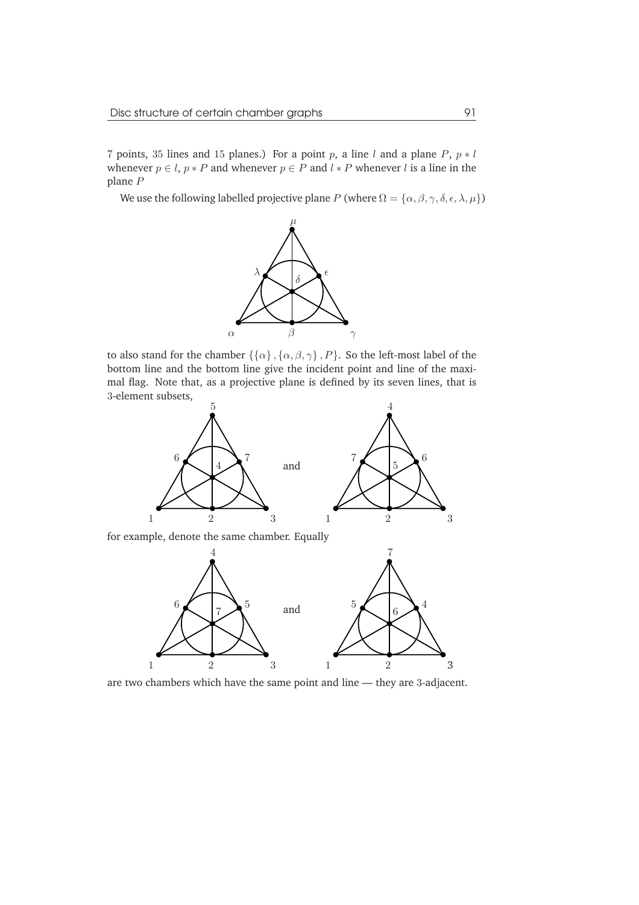7 points, 35 lines and 15 planes.) For a point p, a line l and a plane P,  $p * l$ whenever  $p \in l$ ,  $p * P$  and whenever  $p \in P$  and  $l * P$  whenever l is a line in the plane P

We use the following labelled projective plane P (where  $\Omega = {\alpha, \beta, \gamma, \delta, \epsilon, \lambda, \mu}$ )



to also stand for the chamber  $\{\{\alpha\},\{\alpha,\beta,\gamma\}$ ,  $P\}$ . So the left-most label of the bottom line and the bottom line give the incident point and line of the maximal flag. Note that, as a projective plane is defined by its seven lines, that is 3-element subsets,



are two chambers which have the same point and line — they are 3-adjacent.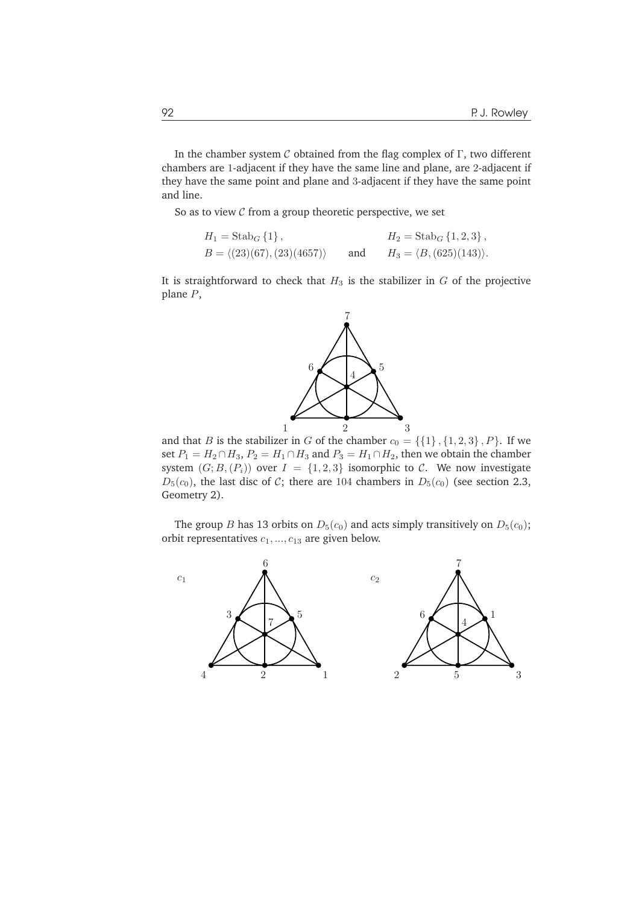In the chamber system  $C$  obtained from the flag complex of  $\Gamma$ , two different chambers are 1-adjacent if they have the same line and plane, are 2-adjacent if they have the same point and plane and 3-adjacent if they have the same point and line.

So as to view  $C$  from a group theoretic perspective, we set

$$
H_1 = \text{Stab}_G \{1\}, \qquad H_2 = \text{Stab}_G \{1, 2, 3\},
$$
  
\n
$$
B = \langle (23)(67), (23)(4657) \rangle \qquad \text{and} \qquad H_3 = \langle B, (625)(143) \rangle.
$$

It is straightforward to check that  $H_3$  is the stabilizer in  $G$  of the projective plane P,



and that B is the stabilizer in G of the chamber  $c_0 = \{\{1\}, \{1, 2, 3\}, P\}$ . If we set  $P_1 = H_2 \cap H_3$ ,  $P_2 = H_1 \cap H_3$  and  $P_3 = H_1 \cap H_2$ , then we obtain the chamber system  $(G; B, (P_i))$  over  $I = \{1, 2, 3\}$  isomorphic to C. We now investigate  $D_5(c_0)$ , the last disc of C; there are 104 chambers in  $D_5(c_0)$  (see section 2.3, Geometry 2).

The group *B* has 13 orbits on  $D_5(c_0)$  and acts simply transitively on  $D_5(c_0)$ ; orbit representatives  $c_1, ..., c_{13}$  are given below.

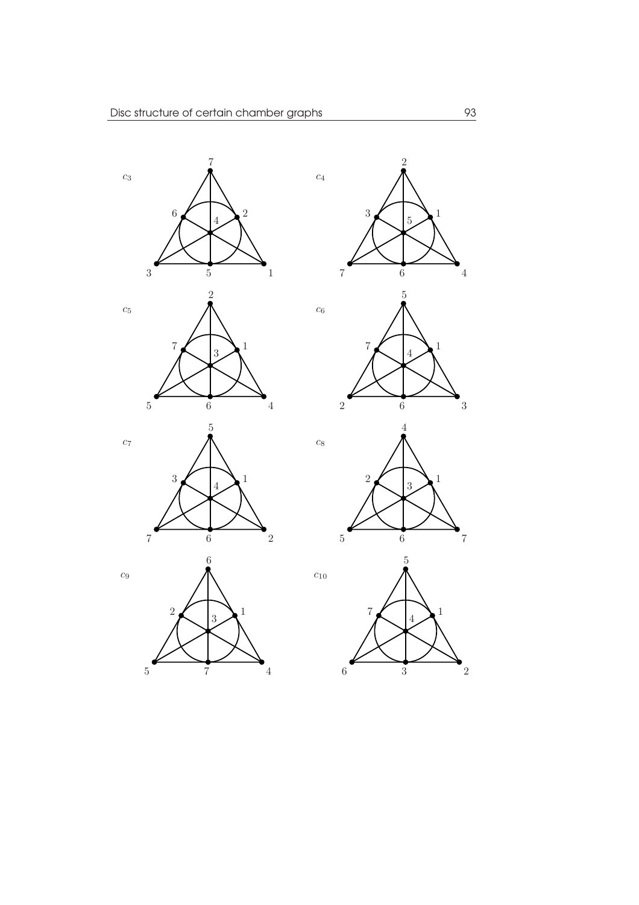







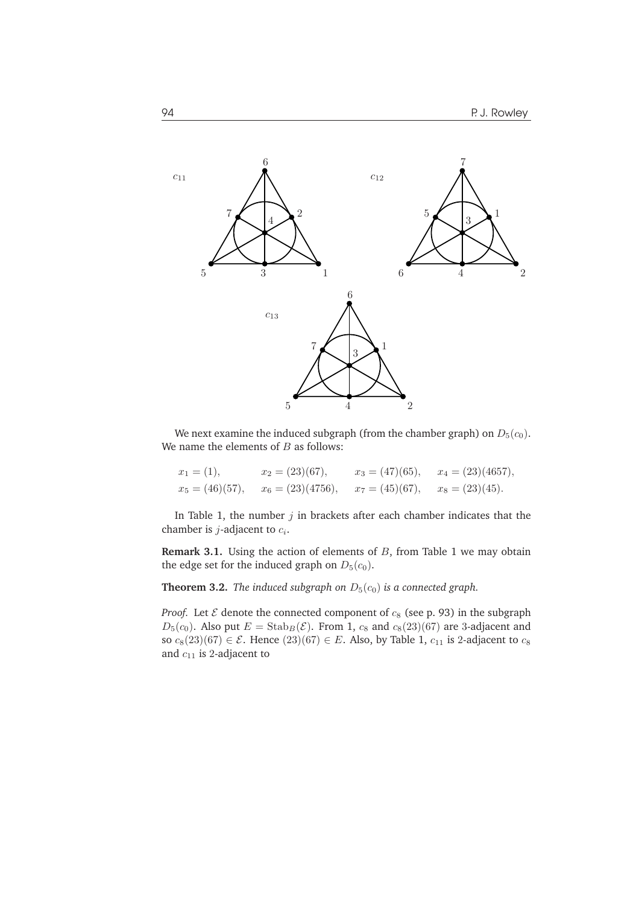

We next examine the induced subgraph (from the chamber graph) on  $D_5(c_0)$ . We name the elements of  $B$  as follows:

| $x_1 = (1),$      | $x_2 = (23)(67),$   | $x_3 = (47)(65),$ | $x_4 = (23)(4657),$ |
|-------------------|---------------------|-------------------|---------------------|
| $x_5 = (46)(57),$ | $x_6 = (23)(4756),$ | $x_7 = (45)(67),$ | $x_8 = (23)(45).$   |

In Table 1, the number  $j$  in brackets after each chamber indicates that the chamber is *j*-adjacent to  $c_i$ .

**Remark 3.1.** Using the action of elements of B, from Table 1 we may obtain the edge set for the induced graph on  $D_5(c_0)$ .

**Theorem 3.2.** *The induced subgraph on*  $D_5(c_0)$  *is a connected graph.* 

*Proof.* Let  $\mathcal E$  denote the connected component of  $c_8$  (see p. 93) in the subgraph  $D_5(c_0)$ . Also put  $E = \text{Stab}_B(\mathcal{E})$ . From 1,  $c_8$  and  $c_8(23)(67)$  are 3-adjacent and so  $c_8(23)(67) \in \mathcal{E}$ . Hence  $(23)(67) \in E$ . Also, by Table 1,  $c_{11}$  is 2-adjacent to  $c_8$ and  $c_{11}$  is 2-adjacent to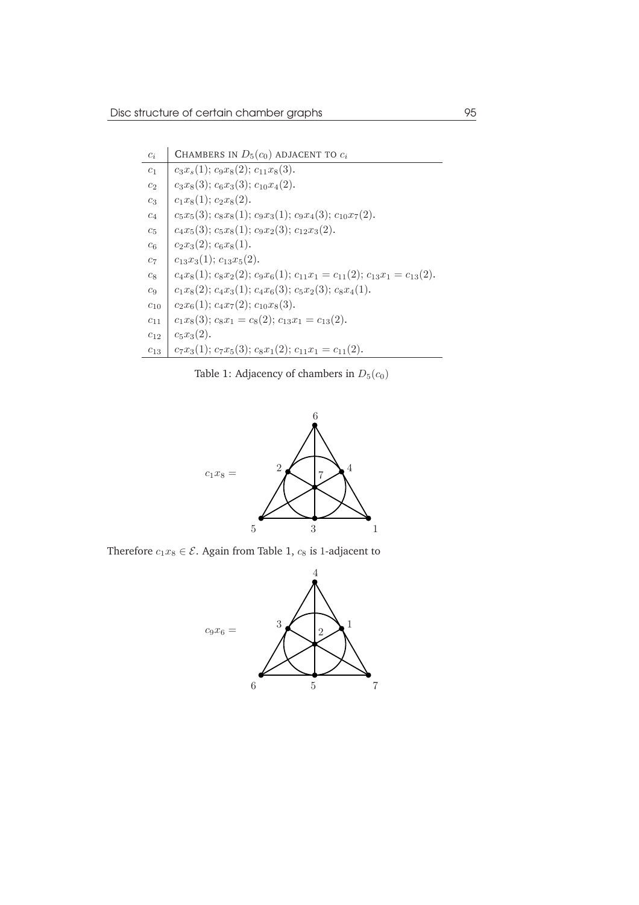| $c_i$          | CHAMBERS IN $D_5(c_0)$ ADJACENT TO $c_i$                                         |
|----------------|----------------------------------------------------------------------------------|
| c <sub>1</sub> | $c_3x_s(1); c_9x_8(2); c_{11}x_8(3).$                                            |
| c <sub>2</sub> | $c_3x_8(3); c_6x_3(3); c_{10}x_4(2).$                                            |
| $c_3$          | $c_1x_8(1); c_2x_8(2).$                                                          |
| $c_4$          | $c_5x_5(3); c_8x_8(1); c_9x_3(1); c_9x_4(3); c_{10}x_7(2).$                      |
| $c_5$          | $c_4x_5(3); c_5x_8(1); c_9x_2(3); c_{12}x_3(2).$                                 |
| $c_6$          | $c_2x_3(2); c_6x_8(1).$                                                          |
| $c_7$          | $c_{13}x_3(1); c_{13}x_5(2).$                                                    |
| $c_8$          | $c_4x_8(1); c_8x_2(2); c_9x_6(1); c_{11}x_1 = c_{11}(2); c_{13}x_1 = c_{13}(2).$ |
| $c_9$          | $c_1x_8(2); c_4x_3(1); c_4x_6(3); c_5x_2(3); c_8x_4(1).$                         |
| $c_{\rm 10}$   | $c_2x_6(1); c_4x_7(2); c_{10}x_8(3).$                                            |
| $c_{11}$       | $c_1x_8(3); c_8x_1 = c_8(2); c_{13}x_1 = c_{13}(2).$                             |
| $c_{12}$       | $c_5x_3(2)$ .                                                                    |
| $c_{13}$       | $c_7x_3(1); c_7x_5(3); c_8x_1(2); c_{11}x_1 = c_{11}(2).$                        |

Table 1: Adjacency of chambers in  $D_5(c_0)$ 



Therefore  $c_1x_8 \in \mathcal{E}$ . Again from Table 1,  $c_8$  is 1-adjacent to

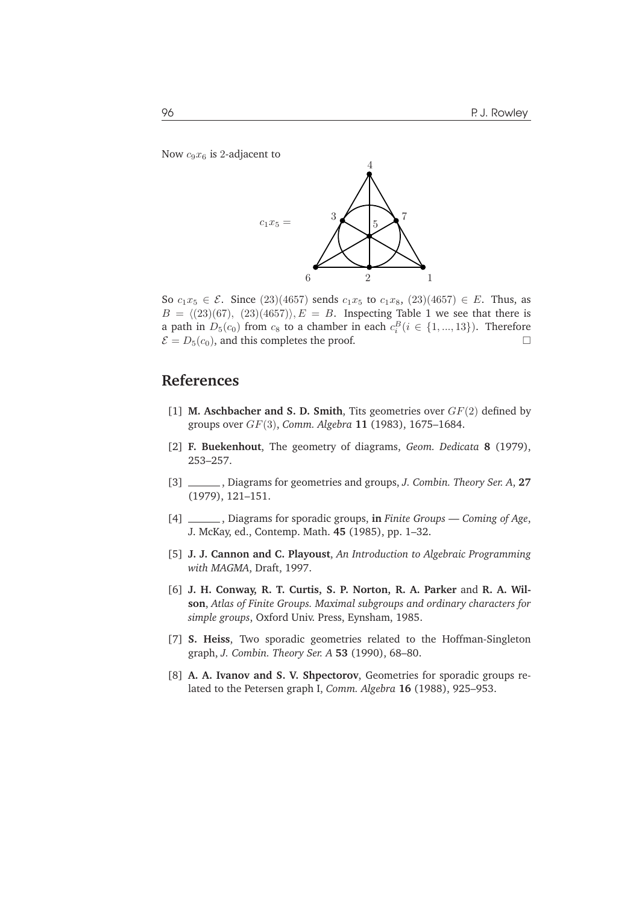Now  $c_9x_6$  is 2-adjacent to



So  $c_1x_5 \in \mathcal{E}$ . Since (23)(4657) sends  $c_1x_5$  to  $c_1x_8$ , (23)(4657)  $\in E$ . Thus, as  $B = \langle (23)(67), (23)(4657) \rangle, E = B$ . Inspecting Table 1 we see that there is a path in  $D_5(c_0)$  from  $c_8$  to a chamber in each  $c_i^B(i \in \{1, ..., 13\})$ . Therefore  $\mathcal{E} = D_5(c_0)$ , and this completes the proof.

## **References**

- [1] **M. Aschbacher and S. D. Smith**, Tits geometries over GF(2) defined by groups over GF(3), *Comm. Algebra* **11** (1983), 1675–1684.
- [2] **F. Buekenhout**, The geometry of diagrams, *Geom. Dedicata* **8** (1979), 253–257.
- [3] , Diagrams for geometries and groups, *J. Combin. Theory Ser. A*, **27** (1979), 121–151.
- [4] , Diagrams for sporadic groups, **in** *Finite Groups Coming of Age*, J. McKay, ed., Contemp. Math. **45** (1985), pp. 1–32.
- [5] **J. J. Cannon and C. Playoust**, *An Introduction to Algebraic Programming with MAGMA*, Draft, 1997.
- [6] **J. H. Conway, R. T. Curtis, S. P. Norton, R. A. Parker** and **R. A. Wilson**, *Atlas of Finite Groups. Maximal subgroups and ordinary characters for simple groups*, Oxford Univ. Press, Eynsham, 1985.
- [7] **S. Heiss**, Two sporadic geometries related to the Hoffman-Singleton graph, *J. Combin. Theory Ser. A* **53** (1990), 68–80.
- [8] **A. A. Ivanov and S. V. Shpectorov**, Geometries for sporadic groups related to the Petersen graph I, *Comm. Algebra* **16** (1988), 925–953.